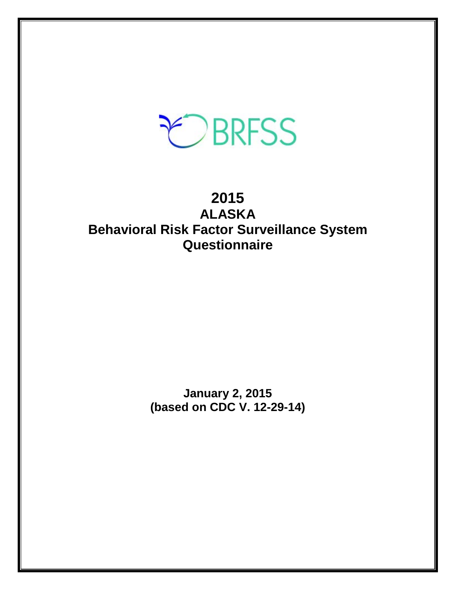# EBRFSS

# **2015 ALASKA Behavioral Risk Factor Surveillance System Questionnaire**

**January 2, 2015 (based on CDC V. 12-29-14)**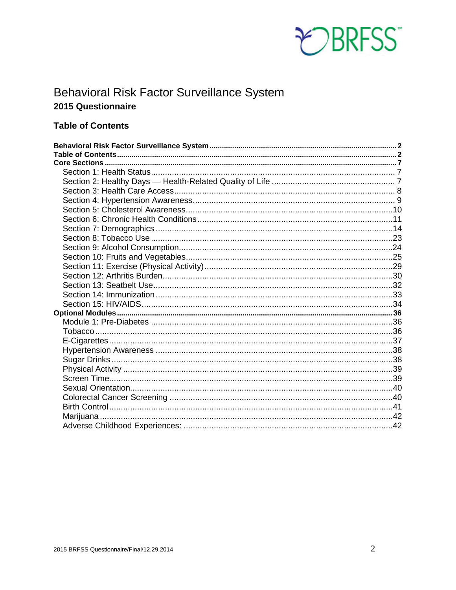

# <span id="page-1-0"></span>**Behavioral Risk Factor Surveillance System** 2015 Questionnaire

## <span id="page-1-1"></span>**Table of Contents**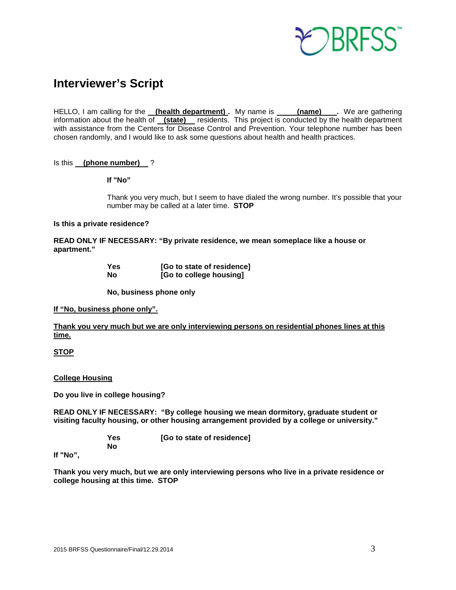

# **Interviewer's Script**

HELLO, I am calling for the **(health department) .** My name is **(name) .** We are gathering information about the health of **(state)** residents. This project is conducted by the health department with assistance from the Centers for Disease Control and Prevention. Your telephone number has been chosen randomly, and I would like to ask some questions about health and health practices.

Is this **(phone number)** ?

**If "No"** 

Thank you very much, but I seem to have dialed the wrong number. It's possible that your number may be called at a later time. **STOP**

#### **Is this a private residence?**

**READ ONLY IF NECESSARY: "By private residence, we mean someplace like a house or apartment."**

| Yes | [Go to state of residence] |
|-----|----------------------------|
| No  | [Go to college housing]    |

**No, business phone only**

**If "No, business phone only".**

**Thank you very much but we are only interviewing persons on residential phones lines at this time.**

#### **STOP**

**College Housing**

**Do you live in college housing?** 

**READ ONLY IF NECESSARY: "By college housing we mean dormitory, graduate student or visiting faculty housing, or other housing arrangement provided by a college or university."**

> **Yes [Go to state of residence] No**

**If "No",**

**Thank you very much, but we are only interviewing persons who live in a private residence or college housing at this time. STOP**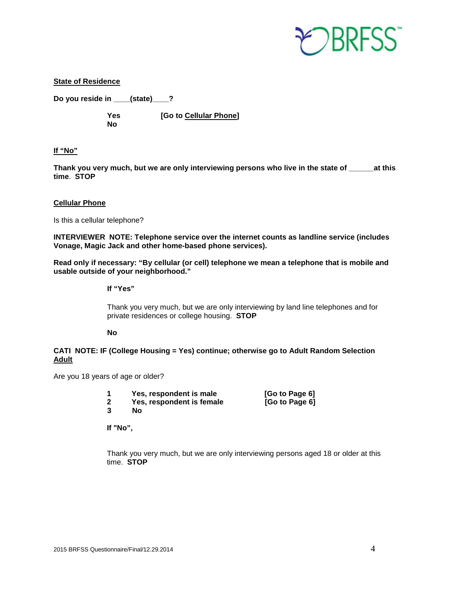

#### **State of Residence**

**Do you reside in \_\_\_\_(state)\_\_\_\_?** 

**No**

**Yes [Go to Cellular Phone]**

#### **If "No"**

**Thank you very much, but we are only interviewing persons who live in the state of \_\_\_\_\_\_at this time**. **STOP**

#### **Cellular Phone**

Is this a cellular telephone?

**INTERVIEWER NOTE: Telephone service over the internet counts as landline service (includes Vonage, Magic Jack and other home-based phone services).**

**Read only if necessary: "By cellular (or cell) telephone we mean a telephone that is mobile and usable outside of your neighborhood."** 

**If "Yes"**

Thank you very much, but we are only interviewing by land line telephones and for private residences or college housing. **STOP**

#### **No**

#### **CATI NOTE: IF (College Housing = Yes) continue; otherwise go to Adult Random Selection Adult**

Are you 18 years of age or older?

**1 Yes, respondent is male [Go to Page 6]**

**2 Yes, respondent is female [Go to Page 6]**

**3 No**

**If "No",**

Thank you very much, but we are only interviewing persons aged 18 or older at this time. **STOP**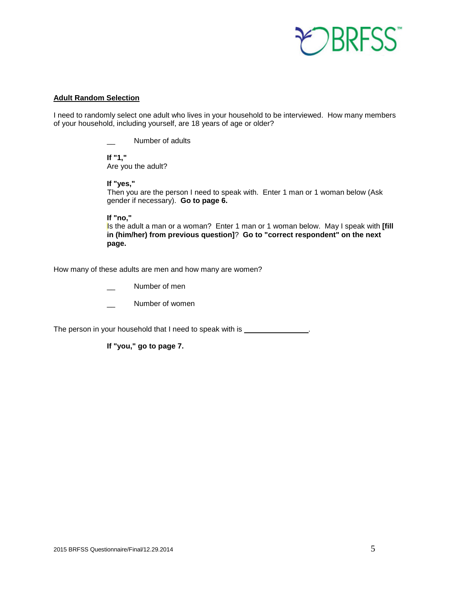

#### **Adult Random Selection**

I need to randomly select one adult who lives in your household to be interviewed. How many members of your household, including yourself, are 18 years of age or older?

\_\_ Number of adults

**If "1,"**  Are you the adult?

**If "yes,"** 

Then you are the person I need to speak with. Enter 1 man or 1 woman below (Ask gender if necessary). **Go to page 6.**

**If "no,"** 

Is the adult a man or a woman? Enter 1 man or 1 woman below. May I speak with **[fill in (him/her) from previous question]**? **Go to "correct respondent" on the next page.**

How many of these adults are men and how many are women?

Number of men

Number of women

The person in your household that I need to speak with is \_\_\_\_\_\_\_\_\_\_\_\_\_\_\_\_\_\_\_\_\_\_

**If "you," go to page 7.**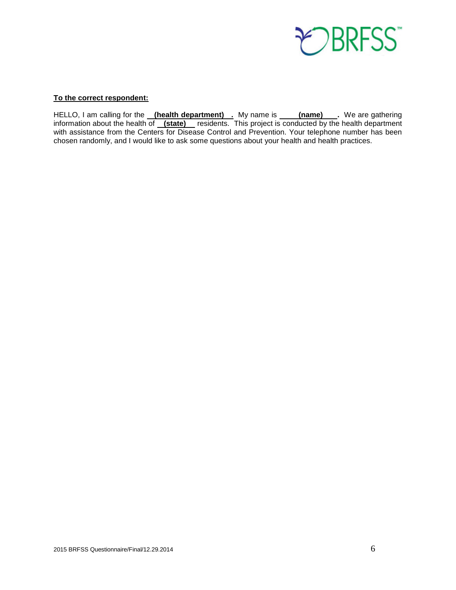

#### **To the correct respondent:**

HELLO, I am calling for the <u>(health department),</u> My name is \_\_\_\_\_(name) \_\_. We are gathering information about the health of **(state)** residents. This project is conducted by the health department with assistance from the Centers for Disease Control and Prevention. Your telephone number has been chosen randomly, and I would like to ask some questions about your health and health practices.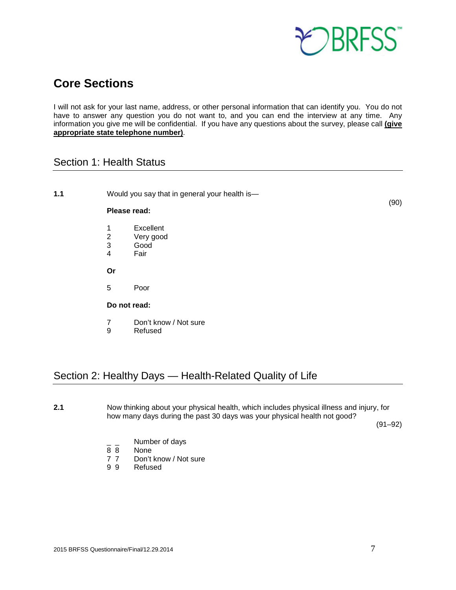

# <span id="page-6-0"></span>**Core Sections**

I will not ask for your last name, address, or other personal information that can identify you. You do not have to answer any question you do not want to, and you can end the interview at any time. Any information you give me will be confidential. If you have any questions about the survey, please call **(give appropriate state telephone number)**.

## <span id="page-6-1"></span>Section 1: Health Status

**1.1** Would you say that in general your health is—

#### **Please read:**

- 1 Excellent<br>2 Verv good
- 2 Very good
- Good
- 4 Fair

**Or**

5 Poor

#### **Do not read:**

- 7 Don't know / Not sure
- 9 Refused

## <span id="page-6-2"></span>Section 2: Healthy Days — Health-Related Quality of Life

**2.1** Now thinking about your physical health, which includes physical illness and injury, for how many days during the past 30 days was your physical health not good?

(91–92)

(90)

- $\frac{1}{8}$   $\frac{1}{8}$  Number of days
- None
- 7 7 Don't know / Not sure<br>9 9 Refused
- **Refused**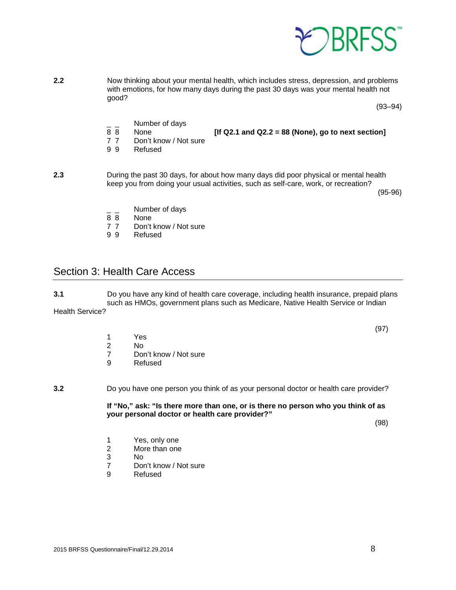

**2.2** Now thinking about your mental health, which includes stress, depression, and problems with emotions, for how many days during the past 30 days was your mental health not good?

(93–94)

 $\frac{1}{8}$   $\frac{1}{8}$  Number of days

8 8 None **[If Q2.1 and Q2.2 = 88 (None), go to next section]** 

- Don't know / Not sure
- 9 9 Refused
- **2.3** During the past 30 days, for about how many days did poor physical or mental health keep you from doing your usual activities, such as self-care, work, or recreation?

(95-96)

- $\frac{1}{8}$   $\frac{1}{8}$  Number of days
- None
- 7 7 Don't know / Not sure<br>9 9 Refused
- **Refused**

## <span id="page-7-0"></span>Section 3: Health Care Access

**3.1** Do you have any kind of health care coverage, including health insurance, prepaid plans such as HMOs, government plans such as Medicare, Native Health Service or Indian Health Service?

- 1 Yes
- No.
- 7 Don't know / Not sure<br>9 Refused
- **Refused**
- **3.2** Do you have one person you think of as your personal doctor or health care provider?

**If "No," ask: "Is there more than one, or is there no person who you think of as your personal doctor or health care provider?"**

(98)

- 1 Yes, only one
- 2 More than one
- 3 No
- Don't know / Not sure
- 9 Refused

(97)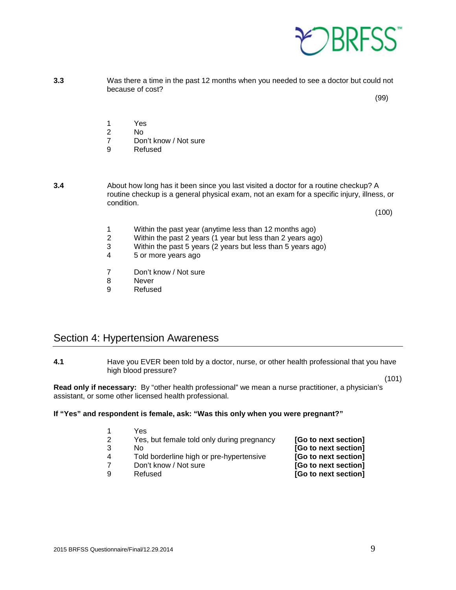

**3.3** Was there a time in the past 12 months when you needed to see a doctor but could not because of cost?

(99)

- 1 Yes<br>2 No
- 2 No
- Don't know / Not sure
- 9 Refused
- **3.4** About how long has it been since you last visited a doctor for a routine checkup? A routine checkup is a general physical exam, not an exam for a specific injury, illness, or condition.

(100)

- 1 Within the past year (anytime less than 12 months ago)<br>2 Within the past 2 years (1 year but less than 2 years ago
- 2 Within the past 2 years (1 year but less than 2 years ago)
- 3 Within the past 5 years (2 years but less than 5 years ago)<br>4 5 or more years ago
- 4 5 or more years ago
- 7 Don't know / Not sure<br>8 Never
- **Never**
- 9 Refused

## <span id="page-8-0"></span>Section 4: Hypertension Awareness

**4.1** Have you EVER been told by a doctor, nurse, or other health professional that you have high blood pressure?

(101)

**Read only if necessary:** By "other health professional" we mean a nurse practitioner, a physician's assistant, or some other licensed health professional.

#### **If "Yes" and respondent is female, ask: "Was this only when you were pregnant?"**

| Yes                                        |                      |
|--------------------------------------------|----------------------|
| Yes, but female told only during pregnancy | [Go to next section] |
| N٥                                         | [Go to next section] |
| Told borderline high or pre-hypertensive   | [Go to next section] |
| Don't know / Not sure                      | [Go to next section] |
| Refused                                    | [Go to next section] |
|                                            |                      |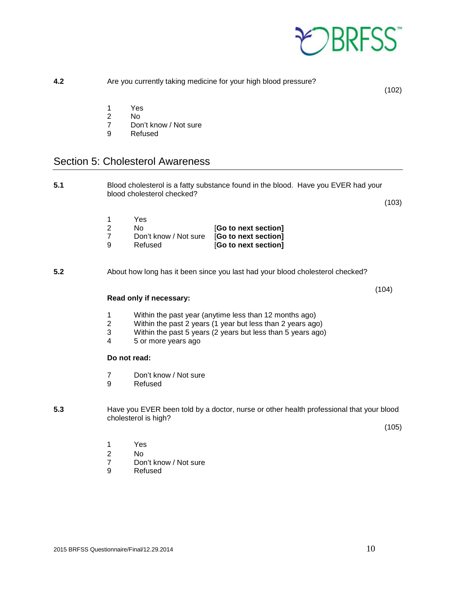

<span id="page-9-0"></span>

| 4.2 | Are you currently taking medicine for your high blood pressure?<br>(102) |                                                                                                                                                                                                            |       |
|-----|--------------------------------------------------------------------------|------------------------------------------------------------------------------------------------------------------------------------------------------------------------------------------------------------|-------|
|     | 1<br>$\overline{2}$<br>$\overline{7}$<br>9                               | Yes<br>N <sub>0</sub><br>Don't know / Not sure<br>Refused                                                                                                                                                  |       |
|     |                                                                          | <b>Section 5: Cholesterol Awareness</b>                                                                                                                                                                    |       |
| 5.1 |                                                                          | Blood cholesterol is a fatty substance found in the blood. Have you EVER had your                                                                                                                          |       |
|     |                                                                          | blood cholesterol checked?                                                                                                                                                                                 | (103) |
|     | 1<br>$\overline{2}$<br>$\overline{7}$<br>9                               | Yes<br>No.<br>[Go to next section]<br>Don't know / Not sure<br>[Go to next section]<br>Refused<br>[Go to next section]                                                                                     |       |
| 5.2 |                                                                          | About how long has it been since you last had your blood cholesterol checked?                                                                                                                              |       |
|     |                                                                          | Read only if necessary:                                                                                                                                                                                    | (104) |
|     | 1<br>$\overline{2}$<br>3<br>4                                            | Within the past year (anytime less than 12 months ago)<br>Within the past 2 years (1 year but less than 2 years ago)<br>Within the past 5 years (2 years but less than 5 years ago)<br>5 or more years ago |       |
|     | Do not read:                                                             |                                                                                                                                                                                                            |       |
|     | $\overline{7}$<br>9                                                      | Don't know / Not sure<br>Refused                                                                                                                                                                           |       |
| 5.3 |                                                                          | Have you EVER been told by a doctor, nurse or other health professional that your blood<br>cholesterol is high?                                                                                            |       |

(105)

- 
- 2 No
- 1 Yes<br>2 No<br>7 Don 7 Don't know / Not sure<br>9 Refused
- Refused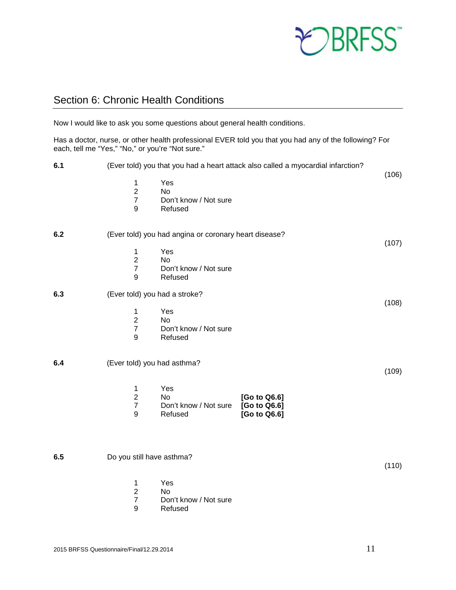

## <span id="page-10-0"></span>Section 6: Chronic Health Conditions

Now I would like to ask you some questions about general health conditions.

Has a doctor, nurse, or other health professional EVER told you that you had any of the following? For each, tell me "Yes," "No," or you're "Not sure."

| 6.1 | (Ever told) you that you had a heart attack also called a myocardial infarction?                                                                             |       |
|-----|--------------------------------------------------------------------------------------------------------------------------------------------------------------|-------|
|     | Yes<br>1<br>$\overline{2}$<br>No<br>$\overline{7}$<br>Don't know / Not sure<br>$\boldsymbol{9}$<br>Refused                                                   | (106) |
| 6.2 | (Ever told) you had angina or coronary heart disease?                                                                                                        |       |
|     | $\mathbf 1$<br>Yes<br>$\overline{2}$<br><b>No</b><br>$\overline{7}$<br>Don't know / Not sure<br>9<br>Refused                                                 | (107) |
| 6.3 | (Ever told) you had a stroke?                                                                                                                                | (108) |
|     | Yes<br>$\mathbf 1$<br>$\overline{2}$<br>No<br>$\overline{7}$<br>Don't know / Not sure<br>9<br>Refused                                                        |       |
| 6.4 | (Ever told) you had asthma?                                                                                                                                  | (109) |
|     | $\mathbf 1$<br>Yes<br>$\overline{c}$<br><b>No</b><br>[Go to Q6.6]<br>$\overline{7}$<br>[Go to Q6.6]<br>Don't know / Not sure<br>9<br>Refused<br>[Go to Q6.6] |       |
| 6.5 | Do you still have asthma?                                                                                                                                    | (110) |
|     | Yes<br>$\mathbf{1}$<br>$\boldsymbol{2}$<br>No<br>$\overline{7}$<br>Don't know / Not sure<br>9<br>Refused                                                     |       |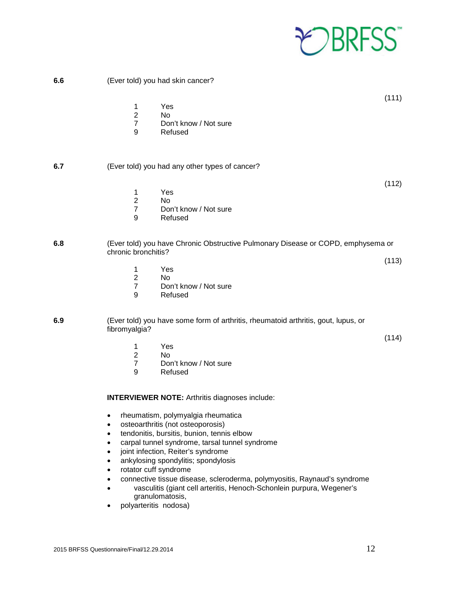

**6.6** (Ever told) you had skin cancer?

- 1 Yes<br>2 No
- No.
- 7 Don't know / Not sure<br>9 Refused
- **Refused**

#### **6.7** (Ever told) you had any other types of cancer?

(112)

(113)

(114)

(111)

- 1 Yes
- 2 No<br>7 Dor
- 7 Don't know / Not sure<br>9 Refused
- **Refused**

#### **6.8** (Ever told) you have Chronic Obstructive Pulmonary Disease or COPD, emphysema or chronic bronchitis?

- 1 Yes
- 
- 2 No<br>7 Dor Don't know / Not sure
- 9 Refused

**6.9** (Ever told) you have some form of arthritis, rheumatoid arthritis, gout, lupus, or fibromyalgia?

- 1 Yes
- 2 No<br>7 Dor
- Don't know / Not sure
- 9 Refused

**INTERVIEWER NOTE:** Arthritis diagnoses include:

- rheumatism, polymyalgia rheumatica
- osteoarthritis (not osteoporosis)
- tendonitis, bursitis, bunion, tennis elbow
- carpal tunnel syndrome, tarsal tunnel syndrome
- joint infection, Reiter's syndrome
- ankylosing spondylitis; spondylosis
- rotator cuff syndrome
- connective tissue disease, scleroderma, polymyositis, Raynaud's syndrome
- vasculitis (giant cell arteritis, Henoch-Schonlein purpura, Wegener's granulomatosis,
- polyarteritis nodosa)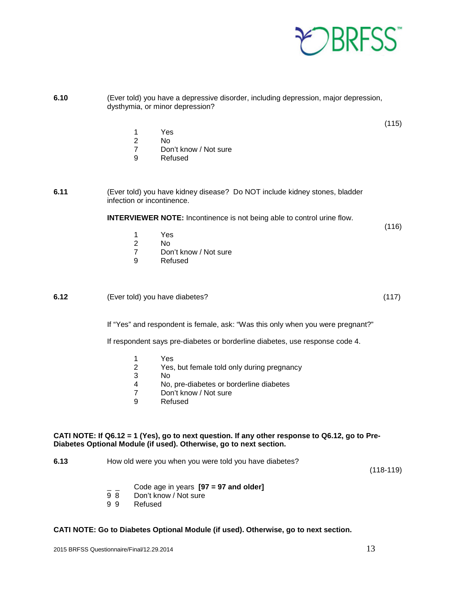

(115)

- 1 Yes
	- 2 No
- 7 Don't know / Not sure<br>9 Refused
	- **Refused**

**6.11** (Ever told) you have kidney disease? Do NOT include kidney stones, bladder infection or incontinence.

**INTERVIEWER NOTE:** Incontinence is not being able to control urine flow.

(116)

- 1 Yes
- 2 No
- 7 Don't know / Not sure<br>9 Refused
- **Refused**

#### **6.12** (Ever told) you have diabetes? (117)

If "Yes" and respondent is female, ask: "Was this only when you were pregnant?"

If respondent says pre-diabetes or borderline diabetes, use response code 4.

- 1 Yes<br>2 Yes.
- Yes, but female told only during pregnancy
- 3 No<br>4 No.
- 4 No, pre-diabetes or borderline diabetes
- 7 Don't know / Not sure<br>9 Refused
- **Refused**

#### **CATI NOTE: If Q6.12 = 1 (Yes), go to next question. If any other response to Q6.12, go to Pre-Diabetes Optional Module (if used). Otherwise, go to next section.**

**6.13** How old were you when you were told you have diabetes?

(118-119)

- \_ \_ Code age in years **[97 = 97 and older]**
- 9 8 Don't know / Not sure<br>9 9 Refused
- **Refused**

#### **CATI NOTE: Go to Diabetes Optional Module (if used). Otherwise, go to next section.**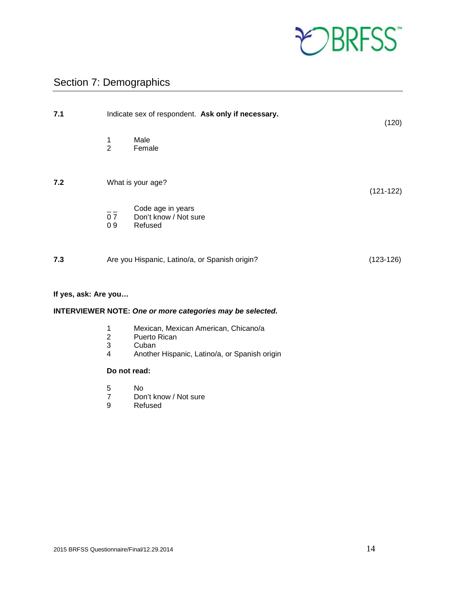

## <span id="page-13-0"></span>Section 7: Demographics

| 7.1                  |                     | Indicate sex of respondent. Ask only if necessary.    | (120)       |
|----------------------|---------------------|-------------------------------------------------------|-------------|
|                      | 1<br>$\overline{2}$ | Male<br>Female                                        |             |
| 7.2                  |                     | What is your age?                                     | $(121-122)$ |
|                      | 07<br>09            | Code age in years<br>Don't know / Not sure<br>Refused |             |
| 7.3                  |                     | Are you Hispanic, Latino/a, or Spanish origin?        | $(123-126)$ |
| If yes, ask: Are you |                     |                                                       |             |

## **INTERVIEWER NOTE:** *One or more categories may be selected.*

- 1 Mexican, Mexican American, Chicano/a
- 2 Puerto Rican<br>3 Cuban
- 3 Cuban<br>4 Anothe
- 4 Another Hispanic, Latino/a, or Spanish origin

#### **Do not read:**

- 5 No<br>7 Dor
- 7 Don't know / Not sure<br>9 Refused
- **Refused**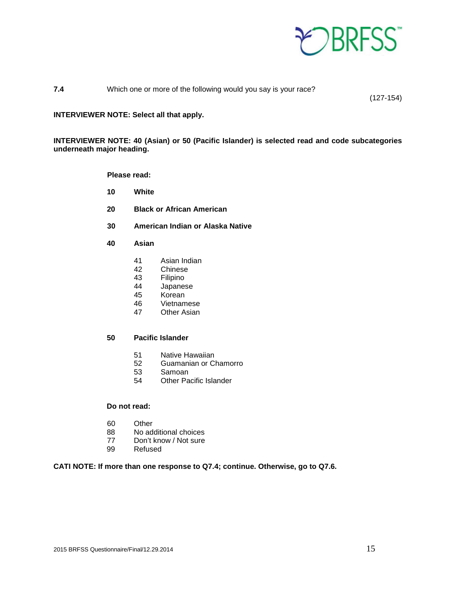

#### **7.4** Which one or more of the following would you say is your race?

(127-154)

#### **INTERVIEWER NOTE: Select all that apply.**

**INTERVIEWER NOTE: 40 (Asian) or 50 (Pacific Islander) is selected read and code subcategories underneath major heading.**

**Please read:**

- **10 White**
- **20 Black or African American**
- **30 American Indian or Alaska Native**
- **40 Asian**
	- 41 Asian Indian
	- 42 Chinese
	- 43 Filipino<br>44 Japanes
	- **Japanese**
	- 45 Korean<br>46 Vietnam
	- 46 Vietnamese<br>47 Other Asian
	- **Other Asian**

#### **50 Pacific Islander**

- 51 Native Hawaiian
- 52 Guamanian or Chamorro
- 53 Samoan<br>54 Other Pa
- **Other Pacific Islander**

#### **Do not read:**

- 60 Other
- 88 No additional choices
- 77 Don't know / Not sure
- 99 Refused

#### **CATI NOTE: If more than one response to Q7.4; continue. Otherwise, go to Q7.6.**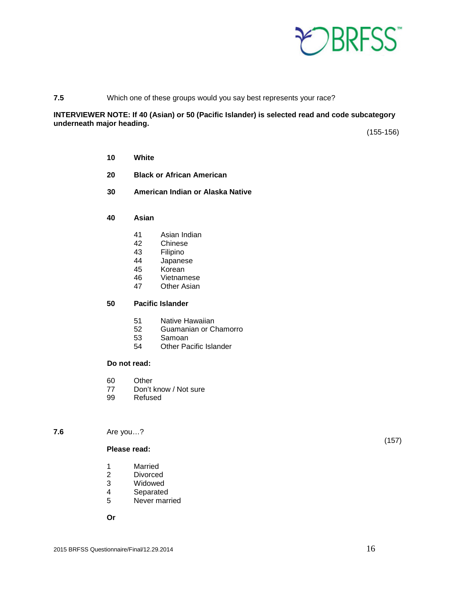

#### **7.5** Which one of these groups would you say best represents your race?

#### **INTERVIEWER NOTE: If 40 (Asian) or 50 (Pacific Islander) is selected read and code subcategory underneath major heading.**

(155-156)

- **10 White**
- **20 Black or African American**
- **30 American Indian or Alaska Native**
- **40 Asian**
	- 41 Asian Indian
	- 42 Chinese
	- 43 Filipino<br>44 Japanes
	- Japanese
	- 45 Korean
	- 46 Vietnamese<br>47 Other Asian
	- **Other Asian**

#### **50 Pacific Islander**

- 51 Native Hawaiian
- 52 Guamanian or Chamorro<br>53 Samoan
- **Samoan**
- 54 Other Pacific Islander

#### **Do not read:**

- 60 Other<br>77 Don't l
- 77 Don't know / Not sure<br>99 Refused
- Refused

#### **7.6** Are you…?

#### **Please read:**

- 1 Married<br>2 Divorced
- 2 Divorced<br>3 Widowed
- 3 Widowed<br>4 Separated
- 4 Separated<br>5 Never mari
- Never married

**Or**

(157)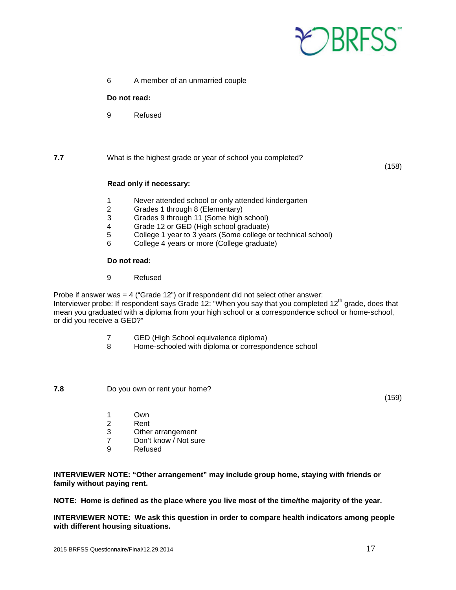

6 A member of an unmarried couple

#### **Do not read:**

9 Refused

#### **7.7** What is the highest grade or year of school you completed?

(158)

#### **Read only if necessary:**

- 1 Never attended school or only attended kindergarten<br>2 Grades 1 through 8 (Elementary)
- 2 Grades 1 through 8 (Elementary)<br>3 Grades 9 through 11 (Some high
- Grades 9 through 11 (Some high school)
- 4 Grade 12 or <del>GED</del> (High school graduate)<br>5 College 1 year to 3 years (Some college c
- 5 College 1 year to 3 years (Some college or technical school)<br>6 College 4 years or more (College graduate)
- 6 College 4 years or more (College graduate)

#### **Do not read:**

9 Refused

Probe if answer was = 4 ("Grade 12") or if respondent did not select other answer: Interviewer probe: If respondent says Grade 12: "When you say that you completed 12<sup>th</sup> grade, does that mean you graduated with a diploma from your high school or a correspondence school or home-school, or did you receive a GED?"

- 7 GED (High School equivalence diploma)
- 8 Home-schooled with diploma or correspondence school

**7.8** Do you own or rent your home?

(159)

- 1 Own<br>2 Rent
- 2 Rent<br>3 Other
- 3 Other arrangement<br>7 Don't know / Not sui
- Don't know / Not sure
- 9 Refused

**INTERVIEWER NOTE: "Other arrangement" may include group home, staying with friends or family without paying rent.**

**NOTE: Home is defined as the place where you live most of the time/the majority of the year.** 

**INTERVIEWER NOTE: We ask this question in order to compare health indicators among people with different housing situations.**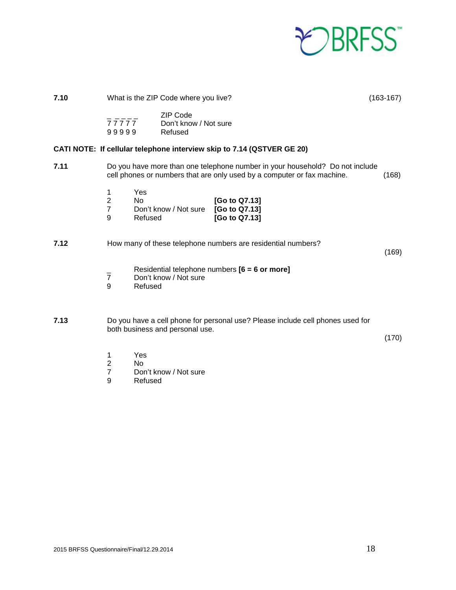

| 7.10 |                                              |                             | What is the ZIP Code where you live?                                                                                                                    |                                                 |  | $(163-167)$ |
|------|----------------------------------------------|-----------------------------|---------------------------------------------------------------------------------------------------------------------------------------------------------|-------------------------------------------------|--|-------------|
|      | 77777<br>99999                               |                             | <b>ZIP Code</b><br>Don't know / Not sure<br>Refused                                                                                                     |                                                 |  |             |
|      |                                              |                             | CATI NOTE: If cellular telephone interview skip to 7.14 (QSTVER GE 20)                                                                                  |                                                 |  |             |
| 7.11 |                                              |                             | Do you have more than one telephone number in your household? Do not include<br>cell phones or numbers that are only used by a computer or fax machine. |                                                 |  | (168)       |
|      | 1<br>$\boldsymbol{2}$<br>$\overline{7}$<br>9 | Yes<br><b>No</b><br>Refused | Don't know / Not sure                                                                                                                                   | [Go to Q7.13]<br>[Go to Q7.13]<br>[Go to Q7.13] |  |             |
| 7.12 |                                              |                             | How many of these telephone numbers are residential numbers?                                                                                            |                                                 |  | (169)       |
|      | $\overline{7}$<br>9                          | Refused                     | Residential telephone numbers $[6 = 6$ or more]<br>Don't know / Not sure                                                                                |                                                 |  |             |
| 7.13 |                                              |                             | Do you have a cell phone for personal use? Please include cell phones used for<br>both business and personal use.                                       |                                                 |  | (170)       |
|      | 1<br>$\mathbf 2$<br>$\overline{7}$<br>9      | Yes<br><b>No</b><br>Refused | Don't know / Not sure                                                                                                                                   |                                                 |  |             |
|      |                                              |                             |                                                                                                                                                         |                                                 |  |             |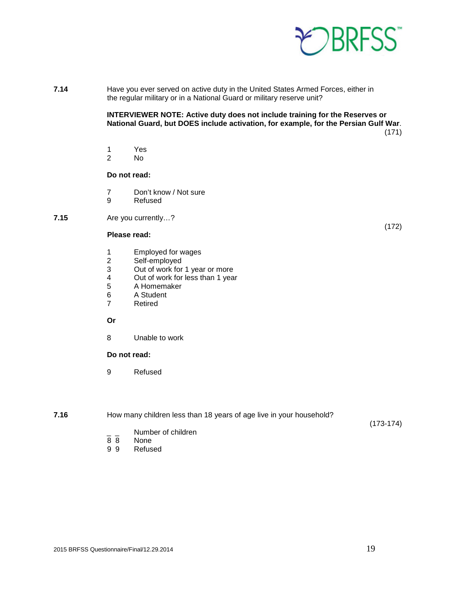

**7.14** Have you ever served on active duty in the United States Armed Forces, either in the regular military or in a National Guard or military reserve unit?

> **INTERVIEWER NOTE: Active duty does not include training for the Reserves or National Guard, but DOES include activation, for example, for the Persian Gulf War**. (171)

- 1 Yes<br>2 No
- N<sub>o</sub>

#### **Do not read:**

- 7 Don't know / Not sure<br>9 Refused
- **Refused**
- **7.15** Are you currently…?

#### **Please read:**

- 1 Employed for wages<br>2 Self-employed
- Self-employed
- 3 Out of work for 1 year or more
- 4 Out of work for less than 1 year
- 5 A Homemaker
- 6 A Student<br>7 Retired
- **Retired**

#### **Or**

8 Unable to work

#### **Do not read:**

- 9 Refused
- **7.16** How many children less than 18 years of age live in your household?

(173-174)

(172)

- $\frac{1}{8}$   $\frac{1}{8}$  Number of children
- 8 8 None<br>9 9 Refus
- **Refused**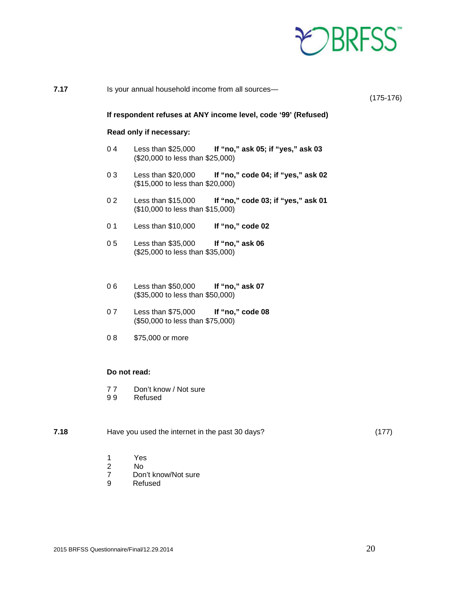

| 7.17 |                | Is your annual household income from all sources-                                             | $(175-176)$ |
|------|----------------|-----------------------------------------------------------------------------------------------|-------------|
|      |                | If respondent refuses at ANY income level, code '99' (Refused)                                |             |
|      |                | Read only if necessary:                                                                       |             |
|      | 04             | Less than \$25,000<br>If "no," ask 05; if "yes," ask 03<br>(\$20,000 to less than \$25,000)   |             |
|      | 03             | Less than $$20,000$<br>If "no," code 04; if "yes," ask 02<br>(\$15,000 to less than \$20,000) |             |
|      | 0 <sub>2</sub> | Less than \$15,000<br>If "no," code 03; if "yes," ask 01<br>(\$10,000 to less than \$15,000)  |             |
|      | 0 <sub>1</sub> | Less than \$10,000<br>If "no," code 02                                                        |             |
|      | 0 <sub>5</sub> | Less than \$35,000<br>If "no," ask 06<br>(\$25,000 to less than \$35,000)                     |             |
|      | 06             | Less than \$50,000<br>If "no," ask 07<br>(\$35,000 to less than \$50,000)                     |             |
|      | 07             | Less than \$75,000<br>If "no," code 08<br>(\$50,000 to less than \$75,000)                    |             |
|      | 08             | \$75,000 or more                                                                              |             |
|      |                | Do not read:                                                                                  |             |
|      | 77<br>99       | Don't know / Not sure<br>Refused                                                              |             |
| 7.18 |                | Have you used the internet in the past 30 days?                                               | (177)       |

- 1 Yes<br>2 No<br>7 Don'
- 2 No
- 7 Don't know/Not sure<br>9 Refused
- **Refused**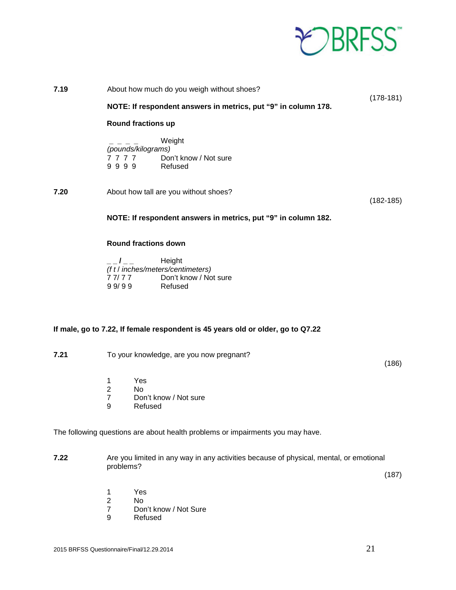

| 7.19 | About how much do you weigh without shoes? |                                                                                        |               |  |
|------|--------------------------------------------|----------------------------------------------------------------------------------------|---------------|--|
|      |                                            | NOTE: If respondent answers in metrics, put "9" in column 178.                         | $(178-181)$   |  |
|      |                                            | <b>Round fractions up</b>                                                              |               |  |
|      |                                            | Weight<br>(pounds/kilograms)<br>7 7 7 7 Don't know / Not sure<br>9999 Refused          |               |  |
| 7.20 |                                            | About how tall are you without shoes?                                                  | $(182 - 185)$ |  |
|      |                                            | NOTE: If respondent answers in metrics, put "9" in column 182.                         |               |  |
|      |                                            | <b>Round fractions down</b>                                                            |               |  |
|      | $-1$ $-$<br>99/99                          | Height<br>(f t / inches/meters/centimeters)<br>77/77 Don't know / Not sure<br>Refused  |               |  |
|      |                                            | If male, go to 7.22, If female respondent is 45 years old or older, go to Q7.22        |               |  |
| 7.21 |                                            | To your knowledge, are you now pregnant?                                               | (186)         |  |
|      | 1<br>$\sqrt{2}$<br>$\overline{7}$<br>9     | Yes<br>No<br>Don't know / Not sure<br>Refused                                          |               |  |
|      |                                            | The following questions are about health problems or impairments you may have.         |               |  |
| 7.22 | problems?                                  | Are you limited in any way in any activities because of physical, mental, or emotional | (187)         |  |
|      | 1<br>$\overline{2}$                        | Yes<br>No                                                                              |               |  |

7 Don't know / Not Sure<br>9 Refused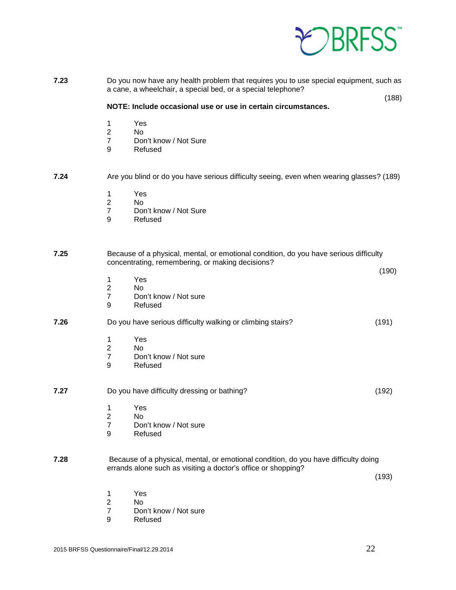

| 7.23 |                                                  | Do you now have any health problem that requires you to use special equipment, such as<br>a cane, a wheelchair, a special bed, or a special telephone? |       |
|------|--------------------------------------------------|--------------------------------------------------------------------------------------------------------------------------------------------------------|-------|
|      |                                                  | NOTE: Include occasional use or use in certain circumstances.                                                                                          | (188) |
|      | 1<br>$\boldsymbol{2}$<br>$\overline{7}$<br>9     | Yes<br>No<br>Don't know / Not Sure<br>Refused                                                                                                          |       |
| 7.24 |                                                  | Are you blind or do you have serious difficulty seeing, even when wearing glasses? (189)                                                               |       |
|      | 1<br>$\overline{2}$<br>$\overline{7}$<br>9       | Yes<br>No<br>Don't know / Not Sure<br>Refused                                                                                                          |       |
| 7.25 |                                                  | Because of a physical, mental, or emotional condition, do you have serious difficulty<br>concentrating, remembering, or making decisions?              | (190) |
|      | 1<br>$\overline{2}$<br>$\overline{7}$<br>9       | Yes<br>No<br>Don't know / Not sure<br>Refused                                                                                                          |       |
| 7.26 |                                                  | Do you have serious difficulty walking or climbing stairs?                                                                                             | (191) |
|      | 1<br>$\sqrt{2}$<br>$\overline{7}$<br>9           | Yes<br>No<br>Don't know / Not sure<br>Refused                                                                                                          |       |
| 7.27 |                                                  | Do you have difficulty dressing or bathing?                                                                                                            | (192) |
|      | 1 Yes<br>$\boldsymbol{2}$<br>$\overline{7}$<br>9 | No<br>Don't know / Not sure<br>Refused                                                                                                                 |       |
| 7.28 |                                                  | Because of a physical, mental, or emotional condition, do you have difficulty doing<br>errands alone such as visiting a doctor's office or shopping?   | (193) |
|      | 1<br>$\boldsymbol{2}$<br>$\overline{7}$<br>9     | Yes<br>No<br>Don't know / Not sure<br>Refused                                                                                                          |       |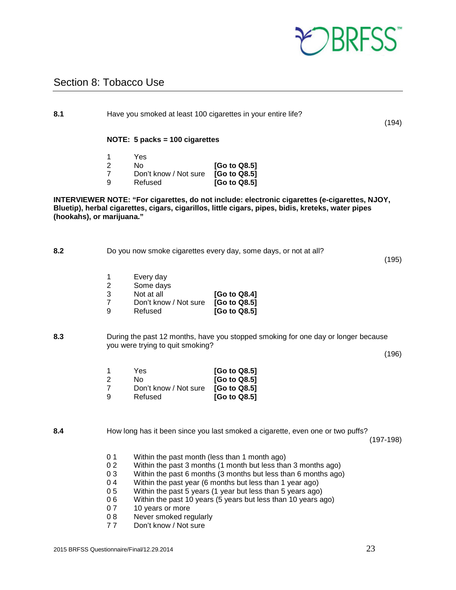

(194)

(195)

(196)

## <span id="page-22-0"></span>Section 8: Tobacco Use

| 8.1                       | Have you smoked at least 100 cigarettes in your entire life?                     |                                                                          |                                                                                                                                                                                                     | (1) |
|---------------------------|----------------------------------------------------------------------------------|--------------------------------------------------------------------------|-----------------------------------------------------------------------------------------------------------------------------------------------------------------------------------------------------|-----|
|                           |                                                                                  | NOTE: 5 packs = 100 cigarettes                                           |                                                                                                                                                                                                     |     |
|                           | 1<br>$\overline{2}$<br>$\overline{7}$<br>9                                       | Yes<br><b>No</b><br>Don't know / Not sure<br>Refused                     | [Go to Q8.5]<br>[Go to Q8.5]<br>[Go to Q8.5]                                                                                                                                                        |     |
| (hookahs), or marijuana." |                                                                                  |                                                                          | INTERVIEWER NOTE: "For cigarettes, do not include: electronic cigarettes (e-cigarettes, NJOY,<br>Bluetip), herbal cigarettes, cigars, cigarillos, little cigars, pipes, bidis, kreteks, water pipes |     |
| 8.2                       |                                                                                  |                                                                          | Do you now smoke cigarettes every day, some days, or not at all?<br>(1)                                                                                                                             |     |
|                           | 1<br>$\overline{\mathbf{c}}$<br>$\ensuremath{\mathsf{3}}$<br>$\overline{7}$<br>9 | Every day<br>Some days<br>Not at all<br>Don't know / Not sure<br>Refused | [Go to Q8.4]<br>[Go to Q8.5]<br>[Go to Q8.5]                                                                                                                                                        |     |
| 8.3                       |                                                                                  | you were trying to quit smoking?                                         | During the past 12 months, have you stopped smoking for one day or longer because<br>(1)                                                                                                            |     |
|                           | 1<br>$\overline{2}$<br>$\overline{7}$<br>9                                       | Yes<br>No.<br>Don't know / Not sure<br>Refused                           | [Go to Q8.5]<br>[Go to Q8.5]<br>[Go to Q8.5]<br>[Go to Q8.5]                                                                                                                                        |     |

**8.4** How long has it been since you last smoked a cigarette, even one or two puffs?

(197-198)

- 
- 0 1 Within the past month (less than 1 month ago)<br>0 2 Within the past 3 months (1 month but less tha Within the past 3 months (1 month but less than 3 months ago)
- 0 3 Within the past 6 months (3 months but less than 6 months ago)<br>0 4 Within the past vear (6 months but less than 1 vear ago)
- 
- 0 4 Within the past year (6 months but less than 1 year ago)<br>0 5 Within the past 5 years (1 year but less than 5 years ago) Within the past 5 years (1 year but less than 5 years ago)
- 0 6 Within the past 10 years (5 years but less than 10 years ago)<br>0 7 10 years or more
- 10 years or more
- 0 8 Never smoked regularly
- 7 7 Don't know / Not sure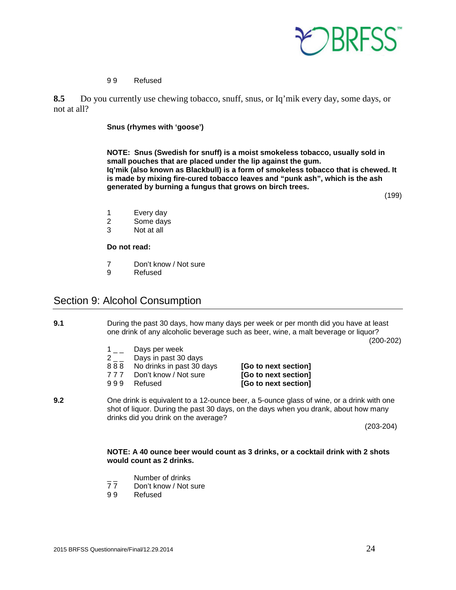

#### 9 9 Refused

**8.5** Do you currently use chewing tobacco, snuff, snus, or Iq'mik every day, some days, or not at all?

#### **Snus (rhymes with 'goose')**

**NOTE: Snus (Swedish for snuff) is a moist smokeless tobacco, usually sold in small pouches that are placed under the lip against the gum. Iq'mik (also known as Blackbull) is a form of smokeless tobacco that is chewed. It is made by mixing fire-cured tobacco leaves and "punk ash", which is the ash generated by burning a fungus that grows on birch trees.**

(199)

- 1 Every day<br>2 Some days
- Some days
- 3 Not at all

#### **Do not read:**

- 7 Don't know / Not sure
- 9 Refused

## <span id="page-23-0"></span>Section 9: Alcohol Consumption

**9.1** During the past 30 days, how many days per week or per month did you have at least one drink of any alcoholic beverage such as beer, wine, a malt beverage or liquor?

(200-202)

- $\begin{bmatrix} 1 & 2 \\ 2 & 1 \end{bmatrix}$  Days in past 30
- Days in past 30 days
- 8 8 8 No drinks in past 30 days **[Go to next section]**
- 
- 

7 7 7 Don't know / Not sure **[Go to next section]** 9 9 9 Refused **[Go to next section]**

**9.2** One drink is equivalent to a 12-ounce beer, a 5-ounce glass of wine, or a drink with one shot of liquor. During the past 30 days, on the days when you drank, about how many drinks did you drink on the average?

(203-204)

#### **NOTE: A 40 ounce beer would count as 3 drinks, or a cocktail drink with 2 shots would count as 2 drinks.**

- \_\_ Number of drinks<br>77 Don't know / Not :
- 77 Don't know / Not sure<br>99 Refused
- **Refused**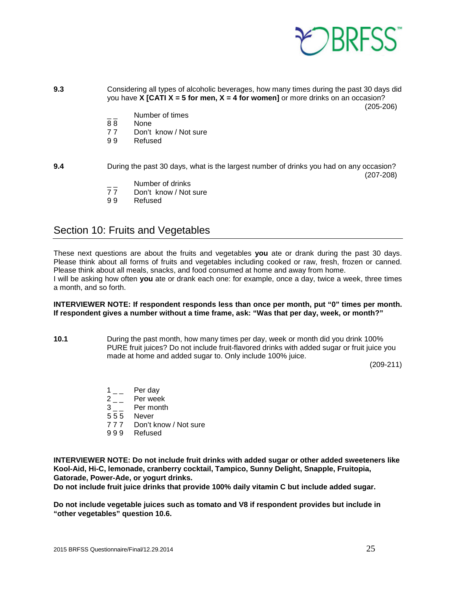

**9.3** Considering all types of alcoholic beverages, how many times during the past 30 days did you have **X [CATI X = 5 for men, X = 4 for women]** or more drinks on an occasion? (205-206)

- $\frac{1}{88}$  Number of times
- 88 None<br>77 Don't
- Don't know / Not sure
- 9 9 Refused

#### **9.4** During the past 30 days, what is the largest number of drinks you had on any occasion? (207-208)

- 
- \_\_ Number of drinks<br>77 Don't know / Not Don't know / Not sure
- 9 9 Refused

## <span id="page-24-0"></span>Section 10: Fruits and Vegetables

These next questions are about the fruits and vegetables **you** ate or drank during the past 30 days. Please think about all forms of fruits and vegetables including cooked or raw, fresh, frozen or canned. Please think about all meals, snacks, and food consumed at home and away from home. I will be asking how often **you** ate or drank each one: for example, once a day, twice a week, three times a month, and so forth.

#### **INTERVIEWER NOTE: If respondent responds less than once per month, put "0" times per month. If respondent gives a number without a time frame, ask: "Was that per day, week, or month?"**

**10.1** During the past month, how many times per day, week or month did you drink 100% PURE fruit juices? Do not include fruit-flavored drinks with added sugar or fruit juice you made at home and added sugar to. Only include 100% juice.

(209-211)

- $1_{-}$  Per day
- 2 Per week
- 3 \_ \_ Per month
- 5 5 5 Never
- 7 7 7 Don't know / Not sure
- 9 9 9 Refused

**INTERVIEWER NOTE: Do not include fruit drinks with added sugar or other added sweeteners like Kool-Aid, Hi-C, lemonade, cranberry cocktail, Tampico, Sunny Delight, Snapple, Fruitopia, Gatorade, Power-Ade, or yogurt drinks.** 

**Do not include fruit juice drinks that provide 100% daily vitamin C but include added sugar.**

**Do not include vegetable juices such as tomato and V8 if respondent provides but include in "other vegetables" question 10.6.**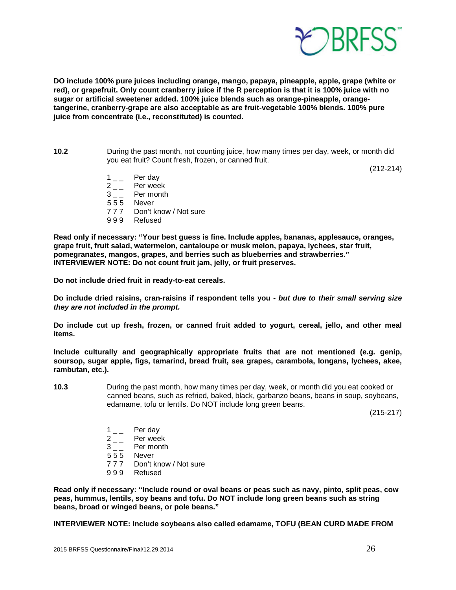

**DO include 100% pure juices including orange, mango, papaya, pineapple, apple, grape (white or red), or grapefruit. Only count cranberry juice if the R perception is that it is 100% juice with no sugar or artificial sweetener added. 100% juice blends such as orange-pineapple, orangetangerine, cranberry-grape are also acceptable as are fruit-vegetable 100% blends. 100% pure juice from concentrate (i.e., reconstituted) is counted.** 

**10.2** During the past month, not counting juice, how many times per day, week, or month did you eat fruit? Count fresh, frozen, or canned fruit.

(212-214)

- $1\qquad$  Per day
- $2 \n-$  Per week<br>3 Per month
- Per month
- 5 5 5 Never
- 7 7 7 Don't know / Not sure
- 9 9 9 Refused

**Read only if necessary: "Your best guess is fine. Include apples, bananas, applesauce, oranges, grape fruit, fruit salad, watermelon, cantaloupe or musk melon, papaya, lychees, star fruit, pomegranates, mangos, grapes, and berries such as blueberries and strawberries." INTERVIEWER NOTE: Do not count fruit jam, jelly, or fruit preserves.** 

**Do not include dried fruit in ready-to-eat cereals.** 

**Do include dried raisins, cran-raisins if respondent tells you -** *but due to their small serving size they are not included in the prompt.*

**Do include cut up fresh, frozen, or canned fruit added to yogurt, cereal, jello, and other meal items.**

**Include culturally and geographically appropriate fruits that are not mentioned (e.g. genip, soursop, sugar apple, figs, tamarind, bread fruit, sea grapes, carambola, longans, lychees, akee, rambutan, etc.).**

**10.3** During the past month, how many times per day, week, or month did you eat cooked or canned beans, such as refried, baked, black, garbanzo beans, beans in soup, soybeans, edamame, tofu or lentils. Do NOT include long green beans.

(215-217)

- $1_{--}$  Per day
- 2<sub>\_\_</sub> Per week
- 3 \_ \_ Per month
- 5 5 5 Never
- 7 7 7 Don't know / Not sure
- 9 9 9 Refused

**Read only if necessary: "Include round or oval beans or peas such as navy, pinto, split peas, cow peas, hummus, lentils, soy beans and tofu. Do NOT include long green beans such as string beans, broad or winged beans, or pole beans."**

**INTERVIEWER NOTE: Include soybeans also called edamame, TOFU (BEAN CURD MADE FROM**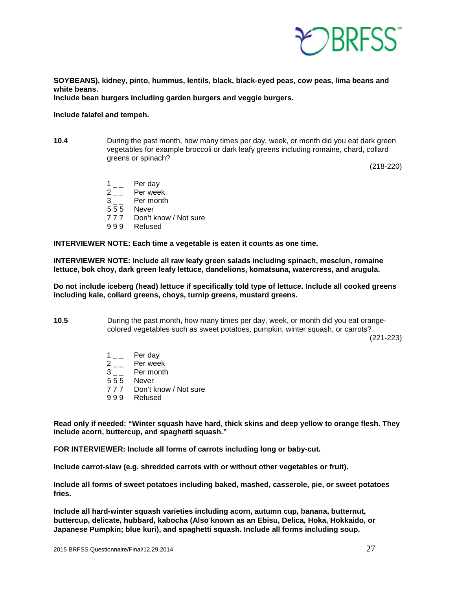

**SOYBEANS), kidney, pinto, hummus, lentils, black, black-eyed peas, cow peas, lima beans and white beans.**

**Include bean burgers including garden burgers and veggie burgers.**

#### **Include falafel and tempeh.**

**10.4** During the past month, how many times per day, week, or month did you eat dark green vegetables for example broccoli or dark leafy greens including romaine, chard, collard greens or spinach?

(218-220)

- $1 \quad \quad$  Per day<br> $2 \quad \quad$  Per wee
	-
- $2 -$  Per week<br>3 Per month Per month
- 5 5 5 Never
- 7 7 7 Don't know / Not sure
- 9 9 9 Refused

**INTERVIEWER NOTE: Each time a vegetable is eaten it counts as one time.**

**INTERVIEWER NOTE: Include all raw leafy green salads including spinach, mesclun, romaine lettuce, bok choy, dark green leafy lettuce, dandelions, komatsuna, watercress, and arugula.**

**Do not include iceberg (head) lettuce if specifically told type of lettuce. Include all cooked greens including kale, collard greens, choys, turnip greens, mustard greens.** 

**10.5** During the past month, how many times per day, week, or month did you eat orangecolored vegetables such as sweet potatoes, pumpkin, winter squash, or carrots?

(221-223)

- $1 \quad \quad$  Per day<br> $2 \quad \quad$  Per wee
- $2 \quad \quad$  Per week<br> $3 \quad \quad$  Per month
- Per month
- 5 5 5 Never
- 7 7 7 Don't know / Not sure
- 9 9 9 Refused

**Read only if needed: "Winter squash have hard, thick skins and deep yellow to orange flesh. They include acorn, buttercup, and spaghetti squash."**

**FOR INTERVIEWER: Include all forms of carrots including long or baby-cut.**

**Include carrot-slaw (e.g. shredded carrots with or without other vegetables or fruit).**

**Include all forms of sweet potatoes including baked, mashed, casserole, pie, or sweet potatoes fries.** 

**Include all hard-winter squash varieties including acorn, autumn cup, banana, butternut, buttercup, delicate, hubbard, kabocha (Also known as an Ebisu, Delica, Hoka, Hokkaido, or Japanese Pumpkin; blue kuri), and spaghetti squash. Include all forms including soup.**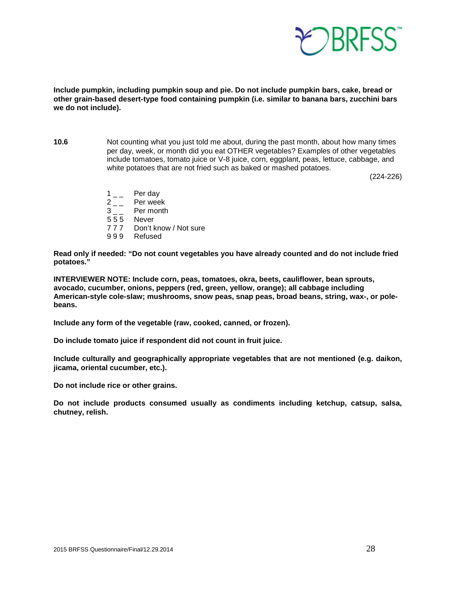

**Include pumpkin, including pumpkin soup and pie. Do not include pumpkin bars, cake, bread or other grain-based desert-type food containing pumpkin (i.e. similar to banana bars, zucchini bars we do not include).**

**10.6** Not counting what you just told me about, during the past month, about how many times per day, week, or month did you eat OTHER vegetables? Examples of other vegetables include tomatoes, tomato juice or V-8 juice, corn, eggplant, peas, lettuce, cabbage, and white potatoes that are not fried such as baked or mashed potatoes.

(224-226)

 $\begin{array}{cc} 1 & -2 \\ 2 & -2 \end{array}$  Per wee Per week 3 \_ \_ Per month 5 5 5 Never 7 7 7 Don't know / Not sure 9 9 9 Refused

**Read only if needed: "Do not count vegetables you have already counted and do not include fried potatoes."**

**INTERVIEWER NOTE: Include corn, peas, tomatoes, okra, beets, cauliflower, bean sprouts, avocado, cucumber, onions, peppers (red, green, yellow, orange); all cabbage including American-style cole-slaw; mushrooms, snow peas, snap peas, broad beans, string, wax-, or polebeans.**

**Include any form of the vegetable (raw, cooked, canned, or frozen).** 

**Do include tomato juice if respondent did not count in fruit juice.**

**Include culturally and geographically appropriate vegetables that are not mentioned (e.g. daikon, jicama, oriental cucumber, etc.).**

**Do not include rice or other grains.**

**Do not include products consumed usually as condiments including ketchup, catsup, salsa, chutney, relish.**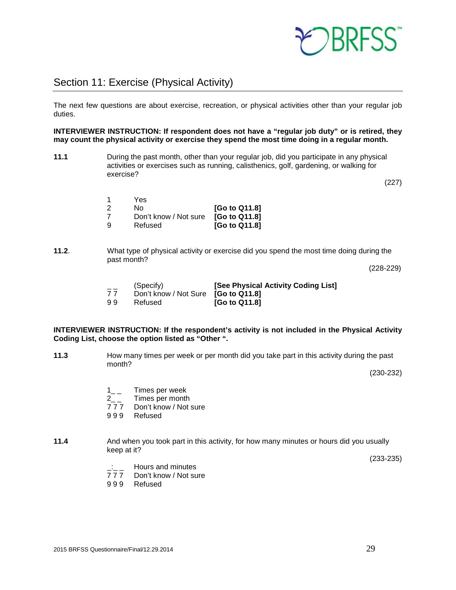

## <span id="page-28-0"></span>Section 11: Exercise (Physical Activity)

The next few questions are about exercise, recreation, or physical activities other than your regular job duties.

**INTERVIEWER INSTRUCTION: If respondent does not have a "regular job duty" or is retired, they may count the physical activity or exercise they spend the most time doing in a regular month.**

**11.1** During the past month, other than your regular job, did you participate in any physical activities or exercises such as running, calisthenics, golf, gardening, or walking for exercise?

(227)

|    | Yes                   |               |
|----|-----------------------|---------------|
| 2  | N٥                    | [Go to Q11.8] |
| 7  | Don't know / Not sure | [Go to Q11.8] |
| -9 | Refused               | [Go to Q11.8] |

**11.2**. What type of physical activity or exercise did you spend the most time doing during the past month?

(228-229)

| $- -$ | (Specify)                           | [See Physical Activity Coding List] |
|-------|-------------------------------------|-------------------------------------|
| 77    | Don't know / Not Sure [Go to Q11.8] |                                     |
| 99    | Refused                             | <b>[Go to Q11.8]</b>                |

#### **INTERVIEWER INSTRUCTION: If the respondent's activity is not included in the Physical Activity Coding List, choose the option listed as "Other ".**

**11.3** How many times per week or per month did you take part in this activity during the past month?

(230-232)

- $1_{--}$  Times per week
- 2<sub>\_\_</sub> Times per month<br>777 Don't know / Not
- Don't know / Not sure
- 9 9 9 Refused
- **11.4** And when you took part in this activity, for how many minutes or hours did you usually keep at it?

(233-235)

- $\frac{1}{7}$   $\frac{1}{7}$  Hours and minutes
- Don't know / Not sure
- 9 9 9 Refused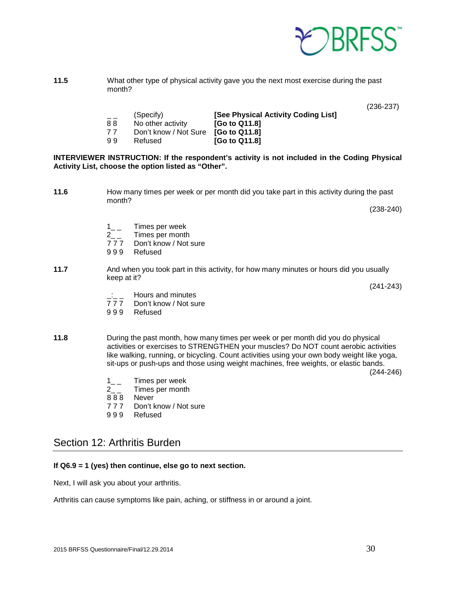

**11.5** What other type of physical activity gave you the next most exercise during the past month?

(236-237)

- (Specify) **[See Physical Activity Coding List]**<br>No other activity **[Go to Q11.8]** 8 8 No other activity<br>7 7 Don't know / Not
- 7 7 Don't know / Not Sure **[Go to Q11.8]**  $[Go$  to Q11.8]

#### **INTERVIEWER INSTRUCTION: If the respondent's activity is not included in the Coding Physical Activity List, choose the option listed as "Other".**

**11.6** How many times per week or per month did you take part in this activity during the past month?

(238-240)

- 1\_\_ Times per week
- 2\_ \_ Times per month
- 7 7 7 Don't know / Not sure
- 9 9 9 Refused
- **11.7** And when you took part in this activity, for how many minutes or hours did you usually keep at it?

(241-243)

- $\frac{1}{7}$   $\frac{1}{7}$  Hours and minutes
- Don't know / Not sure
- 9 9 9 Refused
- **11.8** During the past month, how many times per week or per month did you do physical activities or exercises to STRENGTHEN your muscles? Do NOT count aerobic activities like walking, running, or bicycling. Count activities using your own body weight like yoga, sit-ups or push-ups and those using weight machines, free weights, or elastic bands.

(244-246)

- 1\_\_ Times per week<br>2 Times per month
- Times per month
- 888 Never
- 7 7 7 Don't know / Not sure
- 9 9 9 Refused

## <span id="page-29-0"></span>Section 12: Arthritis Burden

#### **If Q6.9 = 1 (yes) then continue, else go to next section.**

Next, I will ask you about your arthritis.

Arthritis can cause symptoms like pain, aching, or stiffness in or around a joint.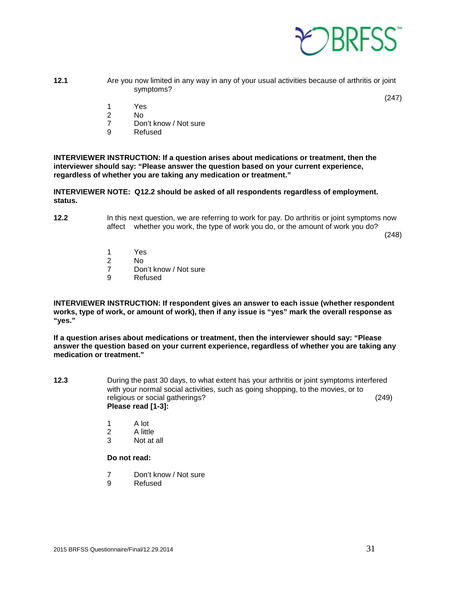

- **12.1** Are you now limited in any way in any of your usual activities because of arthritis or joint symptoms?
	- 1 Yes
	- No.
	- 7 Don't know / Not sure<br>9 Refused
	- **Refused**

**INTERVIEWER INSTRUCTION: If a question arises about medications or treatment, then the interviewer should say: "Please answer the question based on your current experience, regardless of whether you are taking any medication or treatment."**

**INTERVIEWER NOTE: Q12.2 should be asked of all respondents regardless of employment. status.**

**12.2** In this next question, we are referring to work for pay. Do arthritis or joint symptoms now affect whether you work, the type of work you do, or the amount of work you do?

(248)

(247)

- 1 Yes
- N<sub>o</sub>
- 7 Don't know / Not sure
- 9 Refused

**INTERVIEWER INSTRUCTION: If respondent gives an answer to each issue (whether respondent works, type of work, or amount of work), then if any issue is "yes" mark the overall response as "yes."** 

**If a question arises about medications or treatment, then the interviewer should say: "Please answer the question based on your current experience, regardless of whether you are taking any medication or treatment."**

- **12.3** During the past 30 days, to what extent has your arthritis or joint symptoms interfered with your normal social activities, such as going shopping, to the movies, or to religious or social gatherings? (249) **Please read [1-3]:**
	- 1 A lot<br>2 A littl
	- 2 A little<br>3 Not at
	- Not at all

**Do not read:**

- 7 Don't know / Not sure
- 9 Refused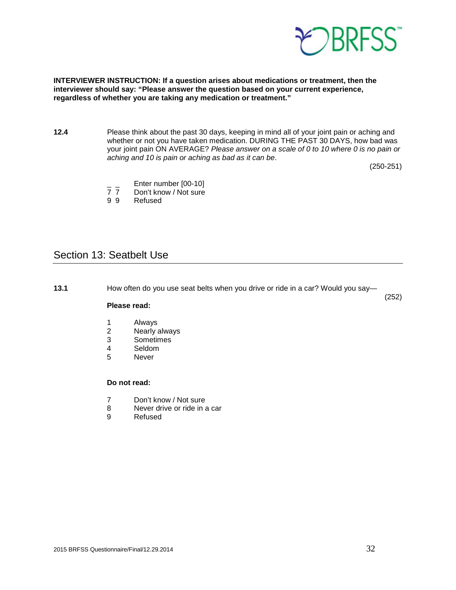

#### **INTERVIEWER INSTRUCTION: If a question arises about medications or treatment, then the interviewer should say: "Please answer the question based on your current experience, regardless of whether you are taking any medication or treatment."**

**12.4** Please think about the past 30 days, keeping in mind all of your joint pain or aching and whether or not you have taken medication. DURING THE PAST 30 DAYS, how bad was your joint pain ON AVERAGE? *Please answer on a scale of 0 to 10 where 0 is no pain or aching and 10 is pain or aching as bad as it can be*.

(250-251)

(252)

- $\frac{1}{7}$  Enter number [00-10]<br>7 7 Don't know / Not sure
- Don't know / Not sure
- 9 9 Refused

## <span id="page-31-0"></span>Section 13: Seatbelt Use

**13.1** How often do you use seat belts when you drive or ride in a car? Would you say—

#### **Please read:**

- 1 Always<br>2 Nearly
- 2 Nearly always<br>3 Sometimes
- 3 Sometimes
- 4 Seldom<br>5 Never
- **Never**

#### **Do not read:**

- 7 Don't know / Not sure
- 8 Never drive or ride in a car
- 9 Refused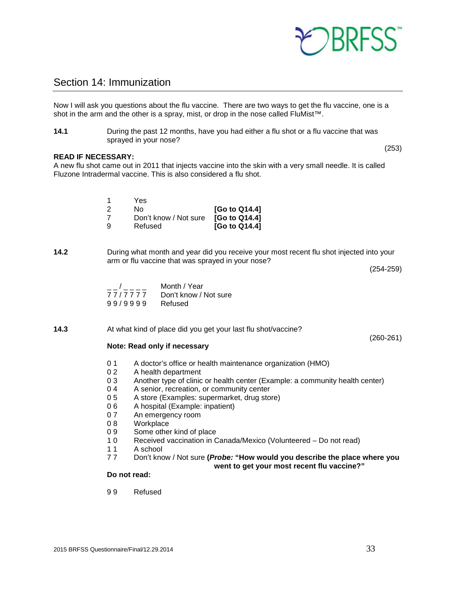

## <span id="page-32-0"></span>Section 14: Immunization

Now I will ask you questions about the flu vaccine. There are two ways to get the flu vaccine, one is a shot in the arm and the other is a spray, mist, or drop in the nose called FluMist<sup>™</sup>.

**14.1** During the past 12 months, have you had either a flu shot or a flu vaccine that was sprayed in your nose?

#### **READ IF NECESSARY:**

A new flu shot came out in 2011 that injects vaccine into the skin with a very small needle. It is called Fluzone Intradermal vaccine. This is also considered a flu shot.

|     | Yes                   |               |
|-----|-----------------------|---------------|
| - 2 | N٥                    | [Go to Q14.4] |
|     | Don't know / Not sure | [Go to Q14.4] |
| -9  | Refused               | [Go to Q14.4] |

**14.2** During what month and year did you receive your most recent flu shot injected into your arm or flu vaccine that was sprayed in your nose?

(254-259)

(253)

| $\overline{\phantom{a}}$ | Month / Year          |
|--------------------------|-----------------------|
| 77/7777                  | Don't know / Not sure |
| 99/9999                  | Refused               |

**14.3** At what kind of place did you get your last flu shot/vaccine?

(260-261)

#### **Note: Read only if necessary**

- 0 1 A doctor's office or health maintenance organization (HMO)
- 0 2 A health department<br>0 3 Another type of clinic
- Another type of clinic or health center (Example: a community health center)
- 0 4 A senior, recreation, or community center<br>0 5 A store (Examples: supermarket, drug sto
- 0 5 A store (Examples: supermarket, drug store)<br>0 6 A hospital (Example: inpatient)
- 0 6 A hospital (Example: inpatient)
- 0 7 An emergency room
- 08 Workplace
- 0 9 Some other kind of place
- 1 0 Received vaccination in Canada/Mexico (Volunteered Do not read)
- A school
- 7 7 Don't know / Not sure **(***Probe:* **"How would you describe the place where you**

**went to get your most recent flu vaccine?"**

#### **Do not read:**

9 9 Refused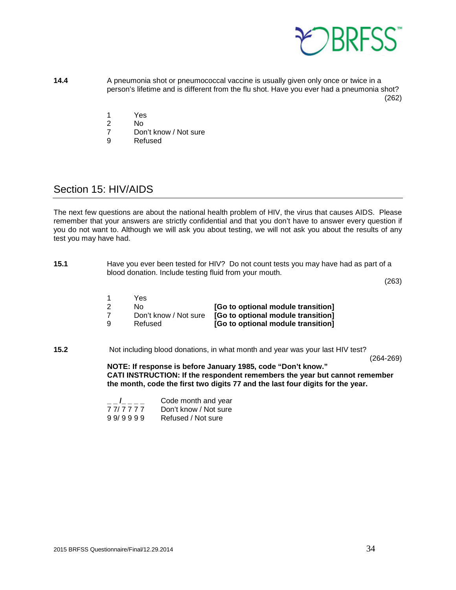

- **14.4** A pneumonia shot or pneumococcal vaccine is usually given only once or twice in a person's lifetime and is different from the flu shot. Have you ever had a pneumonia shot? (262)
	- 1 Yes
	- 2 No<br>7 Dor
	- 7 Don't know / Not sure<br>9 Refused
	- **Refused**

## <span id="page-33-0"></span>Section 15: HIV/AIDS

The next few questions are about the national health problem of HIV, the virus that causes AIDS. Please remember that your answers are strictly confidential and that you don't have to answer every question if you do not want to. Although we will ask you about testing, we will not ask you about the results of any test you may have had.

**15.1** Have you ever been tested for HIV? Do not count tests you may have had as part of a blood donation. Include testing fluid from your mouth.

(263)

|     | Yes                   |                                    |
|-----|-----------------------|------------------------------------|
| -2  | No.                   | [Go to optional module transition] |
| 7   | Don't know / Not sure | [Go to optional module transition] |
| - 9 | Refused               | [Go to optional module transition] |

**15.2** Not including blood donations, in what month and year was your last HIV test?

(264-269)

**NOTE: If response is before January 1985, code "Don't know." CATI INSTRUCTION: If the respondent remembers the year but cannot remember the month, code the first two digits 77 and the last four digits for the year.** 

| $-1$    | Code month and year   |
|---------|-----------------------|
| 77/7777 | Don't know / Not sure |
| 99/9999 | Refused / Not sure    |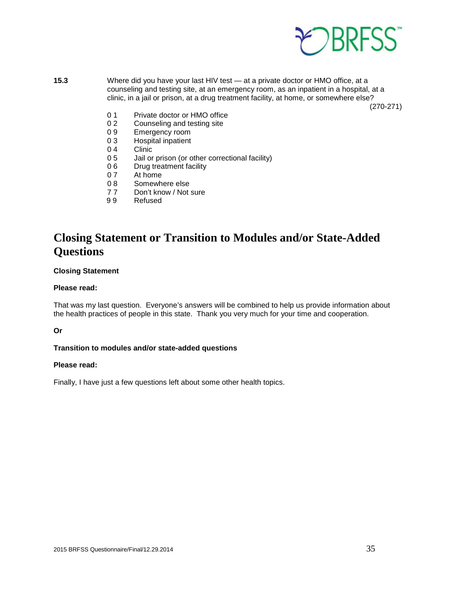

**15.3** Where did you have your last HIV test — at a private doctor or HMO office, at a counseling and testing site, at an emergency room, as an inpatient in a hospital, at a clinic, in a jail or prison, at a drug treatment facility, at home, or somewhere else?

(270-271)

- 0 1 Private doctor or HMO office
- 0 2 Counseling and testing site<br>0 9 Emergency room
- 0 9 Emergency room<br>0 3 Hospital inpatient
- Hospital inpatient
- 0 4 Clinic<br>0 5 Jail or
- Jail or prison (or other correctional facility)
- 0 6 Drug treatment facility
- 0 7 At home<br>0 8 Somewh
- 0 8 Somewhere else<br>7 7 Don't know / Not
- Don't know / Not sure
- 9 9 Refused

## **Closing Statement or Transition to Modules and/or State-Added Questions**

#### **Closing Statement**

#### **Please read:**

That was my last question. Everyone's answers will be combined to help us provide information about the health practices of people in this state. Thank you very much for your time and cooperation.

#### **Or**

#### **Transition to modules and/or state-added questions**

#### **Please read:**

Finally, I have just a few questions left about some other health topics.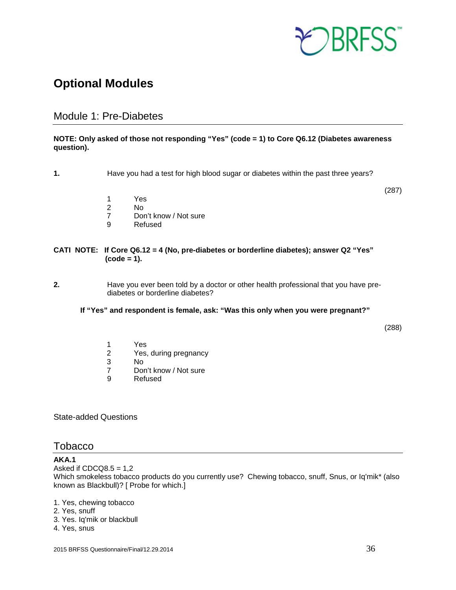

# <span id="page-35-0"></span>**Optional Modules**

## <span id="page-35-1"></span>Module 1: Pre-Diabetes

#### **NOTE: Only asked of those not responding "Yes" (code = 1) to Core Q6.12 (Diabetes awareness question).**

**1.** Have you had a test for high blood sugar or diabetes within the past three years?

(287)

- 1 Yes
- 2 No<br>7 Dor
- Don't know / Not sure
- 9 Refused

#### **CATI NOTE: If Core Q6.12 = 4 (No, pre-diabetes or borderline diabetes); answer Q2 "Yes" (code = 1).**

- **2.** Have you ever been told by a doctor or other health professional that you have prediabetes or borderline diabetes?
	- **If "Yes" and respondent is female, ask: "Was this only when you were pregnant?"**

(288)

- 1 Yes<br>2 Yes,
- 2 Yes, during pregnancy<br>3 No
- 3 No
- 7 Don't know / Not sure<br>9 Refused
- **Refused**

State-added Questions

#### <span id="page-35-2"></span>Tobacco

#### **AKA.1**

Asked if  $CDCQ8.5 = 1.2$ Which smokeless tobacco products do you currently use? Chewing tobacco, snuff, Snus, or Iq'mik\* (also known as Blackbull)? [ Probe for which.]

1. Yes, chewing tobacco

- 2. Yes, snuff
- 3. Yes. Iq'mik or blackbull

#### 4. Yes, snus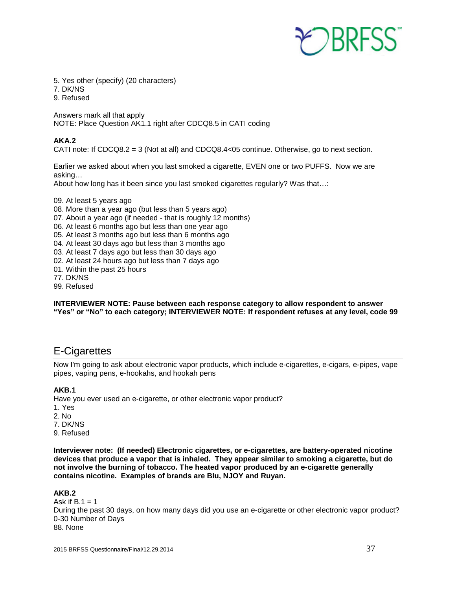

- 5. Yes other (specify) (20 characters)
- 7. DK/NS
- 9. Refused

Answers mark all that apply NOTE: Place Question AK1.1 right after CDCQ8.5 in CATI coding

#### **AKA.2**

CATI note: If CDCQ8.2 = 3 (Not at all) and CDCQ8.4<05 continue. Otherwise, go to next section.

Earlier we asked about when you last smoked a cigarette, EVEN one or two PUFFS. Now we are asking…

About how long has it been since you last smoked cigarettes regularly? Was that…:

- 09. At least 5 years ago
- 08. More than a year ago (but less than 5 years ago)
- 07. About a year ago (if needed that is roughly 12 months)
- 06. At least 6 months ago but less than one year ago
- 05. At least 3 months ago but less than 6 months ago
- 04. At least 30 days ago but less than 3 months ago
- 03. At least 7 days ago but less than 30 days ago
- 02. At least 24 hours ago but less than 7 days ago
- 01. Within the past 25 hours
- 77. DK/NS
- 99. Refused

**INTERVIEWER NOTE: Pause between each response category to allow respondent to answer "Yes" or "No" to each category; INTERVIEWER NOTE: If respondent refuses at any level, code 99**

## <span id="page-36-0"></span>E-Cigarettes

Now I'm going to ask about electronic vapor products, which include e-cigarettes, e-cigars, e-pipes, vape pipes, vaping pens, e-hookahs, and hookah pens

#### **AKB.1**

Have you ever used an e-cigarette, or other electronic vapor product?

- 1. Yes
- 2. No
- 7. DK/NS
- 9. Refused

**Interviewer note: (If needed) Electronic cigarettes, or e-cigarettes, are battery-operated nicotine devices that produce a vapor that is inhaled. They appear similar to smoking a cigarette, but do not involve the burning of tobacco. The heated vapor produced by an e-cigarette generally contains nicotine. Examples of brands are Blu, NJOY and Ruyan.**

#### **AKB.2**

Ask if  $B.1 = 1$ During the past 30 days, on how many days did you use an e-cigarette or other electronic vapor product? 0-30 Number of Days 88. None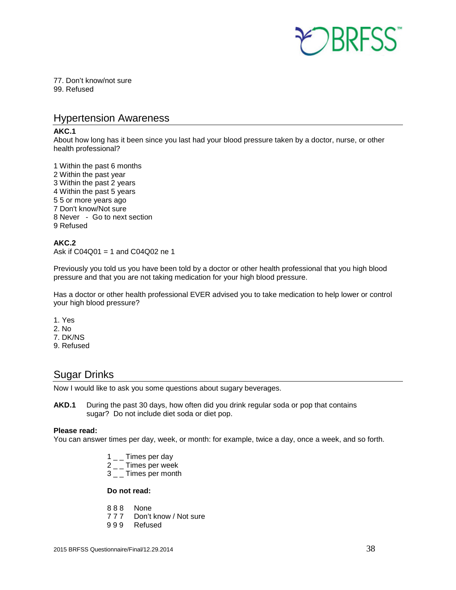

77. Don't know/not sure 99. Refused

## <span id="page-37-0"></span>Hypertension Awareness

#### **AKC.1**

About how long has it been since you last had your blood pressure taken by a doctor, nurse, or other health professional?

1 Within the past 6 months 2 Within the past year 3 Within the past 2 years 4 Within the past 5 years 5 5 or more years ago 7 Don't know/Not sure 8 Never - Go to next section 9 Refused

#### **AKC.2**

Ask if C04Q01 = 1 and C04Q02 ne 1

Previously you told us you have been told by a doctor or other health professional that you high blood pressure and that you are not taking medication for your high blood pressure.

Has a doctor or other health professional EVER advised you to take medication to help lower or control your high blood pressure?

- 1. Yes
- 2. No
- 7. DK/NS
- 9. Refused

## <span id="page-37-1"></span>Sugar Drinks

Now I would like to ask you some questions about sugary beverages.

**AKD.1** During the past 30 days, how often did you drink regular soda or pop that contains sugar? Do not include diet soda or diet pop.

#### **Please read:**

You can answer times per day, week, or month: for example, twice a day, once a week, and so forth.

- $1 \_$  Times per dav
- 2 \_ \_ Times per week
- 3<sub>-</sub>Times per month

#### **Do not read:**

- 888 None<br>777 Don't
- Don't know / Not sure
- 9 9 9 Refused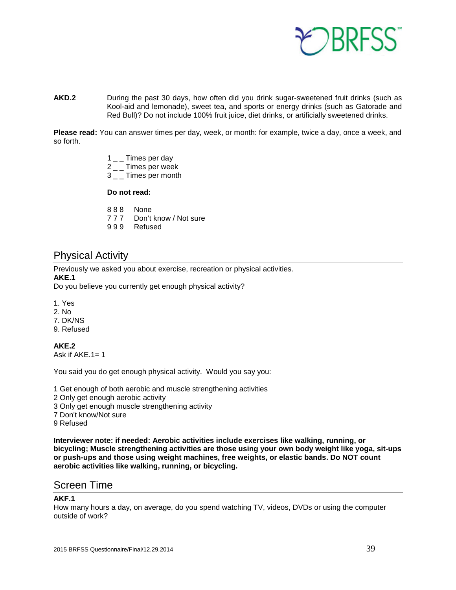

**AKD.2** During the past 30 days, how often did you drink sugar-sweetened fruit drinks (such as Kool-aid and lemonade), sweet tea, and sports or energy drinks (such as Gatorade and Red Bull)? Do not include 100% fruit juice, diet drinks, or artificially sweetened drinks.

**Please read:** You can answer times per day, week, or month: for example, twice a day, once a week, and so forth.

- $1\_\_$  Times per day
- 2<sub>-</sub>Times per week
- 3<sub>-</sub>Times per month

#### **Do not read:**

- 8 8 8 None
- 7 7 7 Don't know / Not sure
- 9 9 9 Refused

## <span id="page-38-0"></span>Physical Activity

Previously we asked you about exercise, recreation or physical activities.

#### **AKE.1**

Do you believe you currently get enough physical activity?

- 1. Yes
- 2. No
- 7. DK/NS
- 9. Refused

**AKE.2**

Ask if AKE.1= 1

You said you do get enough physical activity. Would you say you:

1 Get enough of both aerobic and muscle strengthening activities

- 2 Only get enough aerobic activity
- 3 Only get enough muscle strengthening activity
- 7 Don't know/Not sure
- 9 Refused

**Interviewer note: if needed: Aerobic activities include exercises like walking, running, or bicycling; Muscle strengthening activities are those using your own body weight like yoga, sit-ups or push-ups and those using weight machines, free weights, or elastic bands. Do NOT count aerobic activities like walking, running, or bicycling.**

## <span id="page-38-1"></span>Screen Time

#### **AKF.1**

How many hours a day, on average, do you spend watching TV, videos, DVDs or using the computer outside of work?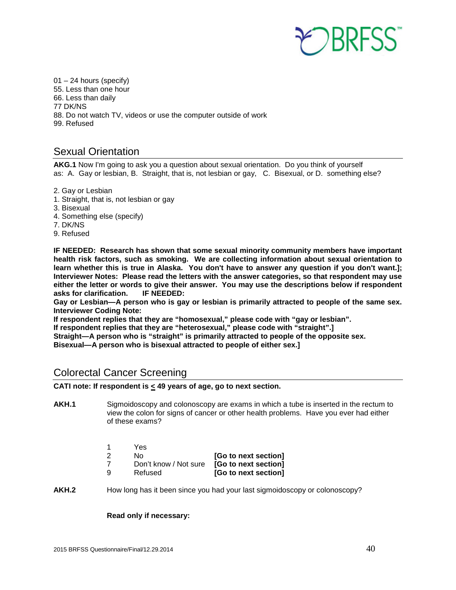

 $01 - 24$  hours (specify) 55. Less than one hour 66. Less than daily 77 DK/NS 88. Do not watch TV, videos or use the computer outside of work 99. Refused

## <span id="page-39-0"></span>Sexual Orientation

**AKG.1** Now I'm going to ask you a question about sexual orientation. Do you think of yourself as: A. Gay or lesbian, B. Straight, that is, not lesbian or gay, C. Bisexual, or D. something else?

- 2. Gay or Lesbian
- 1. Straight, that is, not lesbian or gay
- 3. Bisexual
- 4. Something else (specify)
- 7. DK/NS
- 9. Refused

**IF NEEDED: Research has shown that some sexual minority community members have important health risk factors, such as smoking. We are collecting information about sexual orientation to learn whether this is true in Alaska. You don't have to answer any question if you don't want.]; Interviewer Notes: Please read the letters with the answer categories, so that respondent may use either the letter or words to give their answer. You may use the descriptions below if respondent asks for clarification.** 

**Gay or Lesbian—A person who is gay or lesbian is primarily attracted to people of the same sex. Interviewer Coding Note:** 

**If respondent replies that they are "homosexual," please code with "gay or lesbian".**

**If respondent replies that they are "heterosexual," please code with "straight".]**

**Straight—A person who is "straight" is primarily attracted to people of the opposite sex.**

**Bisexual—A person who is bisexual attracted to people of either sex.]**

## <span id="page-39-1"></span>Colorectal Cancer Screening

**CATI note: If respondent is < 49 years of age, go to next section.**

- **AKH.1** Sigmoidoscopy and colonoscopy are exams in which a tube is inserted in the rectum to view the colon for signs of cancer or other health problems. Have you ever had either of these exams?
	- 1 Yes<br>2 No 2 No **[Go to next section]** 7 Don't know / Not sure **[Go to next section]** 9 Refused **[Go to next section]**
- **AKH.2** How long has it been since you had your last sigmoidoscopy or colonoscopy?

#### **Read only if necessary:**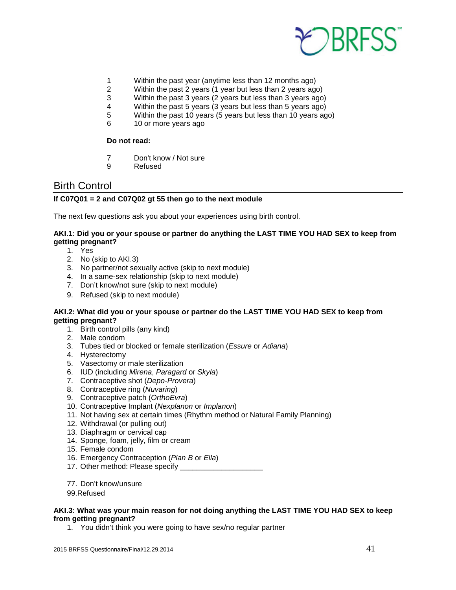

- 1 Within the past year (anytime less than 12 months ago)
- 2 Within the past 2 years (1 year but less than 2 years ago)
- 3 Within the past 3 years (2 years but less than 3 years ago)
- 4 Within the past 5 years (3 years but less than 5 years ago)<br>5 Within the past 10 years (5 years but less than 10 years ago
- 5 Within the past 10 years (5 years but less than 10 years ago)
- 6 10 or more years ago

#### **Do not read:**

- 7 Don't know / Not sure
- 9 Refused

## <span id="page-40-0"></span>Birth Control

#### **If C07Q01 = 2 and C07Q02 gt 55 then go to the next module**

The next few questions ask you about your experiences using birth control.

#### **AKI.1: Did you or your spouse or partner do anything the LAST TIME YOU HAD SEX to keep from getting pregnant?**

- 1. Yes
- 2. No (skip to AKI.3)
- 3. No partner/not sexually active (skip to next module)
- 4. In a same-sex relationship (skip to next module)
- 7. Don't know/not sure (skip to next module)
- 9. Refused (skip to next module)

#### **AKI.2: What did you or your spouse or partner do the LAST TIME YOU HAD SEX to keep from getting pregnant?**

- 1. Birth control pills (any kind)
- 2. Male condom
- 3. Tubes tied or blocked or female sterilization (*Essure* or *Adiana*)
- 4. Hysterectomy
- 5. Vasectomy or male sterilization
- 6. IUD (including *Mirena*, *Paragard* or *Skyla*)
- 7. Contraceptive shot (*Depo-Provera*)
- 8. Contraceptive ring (*Nuvaring*)
- 9. Contraceptive patch (*OrthoEvra*)
- 10. Contraceptive Implant (*Nexplanon* or *Implanon*)
- 11. Not having sex at certain times (Rhythm method or Natural Family Planning)
- 12. Withdrawal (or pulling out)
- 13. Diaphragm or cervical cap
- 14. Sponge, foam, jelly, film or cream
- 15. Female condom
- 16. Emergency Contraception (*Plan B* or *Ella*)
- 17. Other method: Please specify \_\_\_\_\_\_\_\_\_\_\_\_\_\_\_\_\_\_\_\_
- 77. Don't know/unsure
- 99.Refused

#### **AKI.3: What was your main reason for not doing anything the LAST TIME YOU HAD SEX to keep from getting pregnant?**

1. You didn't think you were going to have sex/no regular partner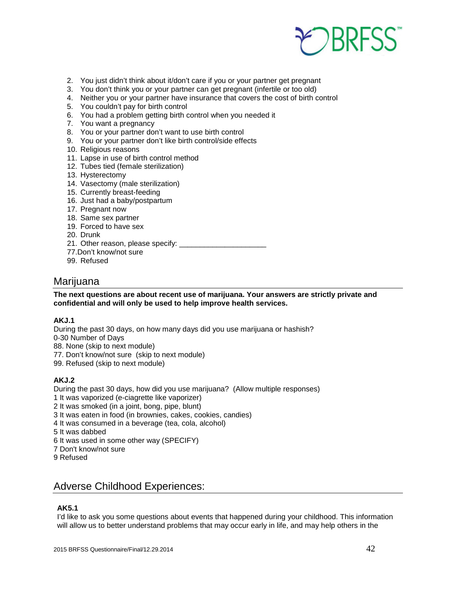

- 2. You just didn't think about it/don't care if you or your partner get pregnant
- 3. You don't think you or your partner can get pregnant (infertile or too old)
- 4. Neither you or your partner have insurance that covers the cost of birth control
- 5. You couldn't pay for birth control
- 6. You had a problem getting birth control when you needed it
- 7. You want a pregnancy
- 8. You or your partner don't want to use birth control
- 9. You or your partner don't like birth control/side effects
- 10. Religious reasons
- 11. Lapse in use of birth control method
- 12. Tubes tied (female sterilization)
- 13. Hysterectomy
- 14. Vasectomy (male sterilization)
- 15. Currently breast-feeding
- 16. Just had a baby/postpartum
- 17. Pregnant now
- 18. Same sex partner
- 19. Forced to have sex
- 20. Drunk
- 21. Other reason, please specify: \_\_\_\_\_\_\_\_\_\_\_\_\_\_\_\_\_\_\_\_\_
- 77.Don't know/not sure
- 99. Refused

### <span id="page-41-0"></span>Marijuana

#### **The next questions are about recent use of marijuana. Your answers are strictly private and confidential and will only be used to help improve health services.**

#### **AKJ.1**

During the past 30 days, on how many days did you use marijuana or hashish? 0-30 Number of Days

- 88. None (skip to next module)
- 77. Don't know/not sure (skip to next module)
- 99. Refused (skip to next module)

#### **AKJ.2**

During the past 30 days, how did you use marijuana? (Allow multiple responses)

- 1 It was vaporized (e-ciagrette like vaporizer)
- 2 It was smoked (in a joint, bong, pipe, blunt)
- 3 It was eaten in food (in brownies, cakes, cookies, candies)
- 4 It was consumed in a beverage (tea, cola, alcohol)
- 5 It was dabbed
- 6 It was used in some other way (SPECIFY)
- 7 Don't know/not sure
- 9 Refused

## <span id="page-41-1"></span>Adverse Childhood Experiences:

#### **AK5.1**

I'd like to ask you some questions about events that happened during your childhood. This information will allow us to better understand problems that may occur early in life, and may help others in the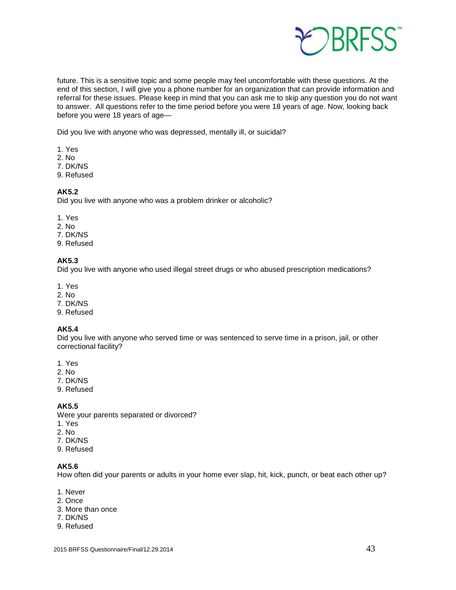

future. This is a sensitive topic and some people may feel uncomfortable with these questions. At the end of this section, I will give you a phone number for an organization that can provide information and referral for these issues. Please keep in mind that you can ask me to skip any question you do not want to answer. All questions refer to the time period before you were 18 years of age. Now, looking back before you were 18 years of age—

Did you live with anyone who was depressed, mentally ill, or suicidal?

- 1. Yes
- 2. No
- 7. DK/NS
- 9. Refused

#### **AK5.2**

Did you live with anyone who was a problem drinker or alcoholic?

- 1. Yes
- 2. No
- 7. DK/NS
- 9. Refused

#### **AK5.3**

Did you live with anyone who used illegal street drugs or who abused prescription medications?

- 1. Yes
- 2. No
- 7. DK/NS
- 9. Refused

#### **AK5.4**

Did you live with anyone who served time or was sentenced to serve time in a prison, jail, or other correctional facility?

- 1. Yes
- 2. No
- 7. DK/NS
- 9. Refused

#### **AK5.5**

Were your parents separated or divorced?

- 1. Yes
- 2. No
- 7. DK/NS
- 9. Refused

#### **AK5.6**

How often did your parents or adults in your home ever slap, hit, kick, punch, or beat each other up?

- 1. Never
- 2. Once
- 3. More than once
- 7. DK/NS
- 9. Refused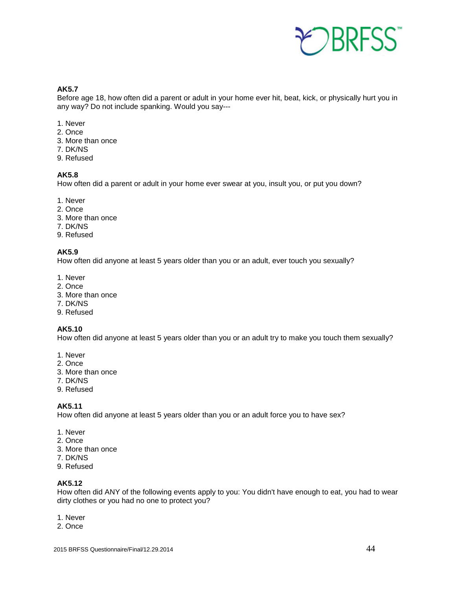

**AK5.7**

Before age 18, how often did a parent or adult in your home ever hit, beat, kick, or physically hurt you in any way? Do not include spanking. Would you say---

- 1. Never
- 2. Once
- 3. More than once
- 7. DK/NS
- 9. Refused

#### **AK5.8**

How often did a parent or adult in your home ever swear at you, insult you, or put you down?

- 1. Never
- 2. Once
- 3. More than once
- 7. DK/NS
- 9. Refused

#### **AK5.9**

How often did anyone at least 5 years older than you or an adult, ever touch you sexually?

- 1. Never
- 2. Once
- 3. More than once
- 7. DK/NS
- 9. Refused

#### **AK5.10**

How often did anyone at least 5 years older than you or an adult try to make you touch them sexually?

- 1. Never
- 2. Once
- 3. More than once
- 7. DK/NS
- 9. Refused

#### **AK5.11**

How often did anyone at least 5 years older than you or an adult force you to have sex?

- 1. Never
- 2. Once
- 3. More than once
- 7. DK/NS
- 9. Refused

#### **AK5.12**

How often did ANY of the following events apply to you: You didn't have enough to eat, you had to wear dirty clothes or you had no one to protect you?

- 1. Never
- 2. Once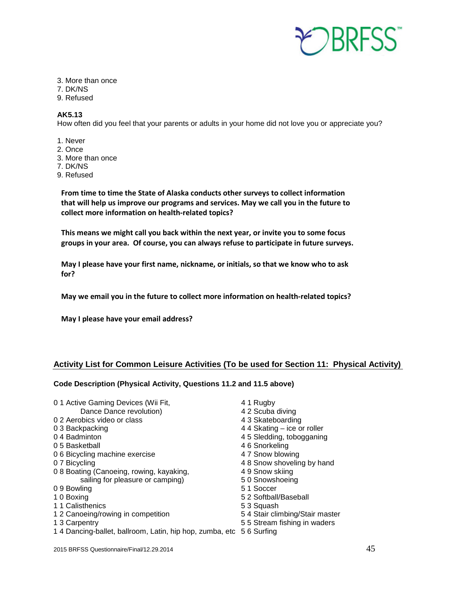

- 3. More than once
- 7. DK/NS
- 9. Refused

#### **AK5.13**

How often did you feel that your parents or adults in your home did not love you or appreciate you?

- 1. Never
- 2. Once
- 3. More than once
- 7. DK/NS
- 9. Refused

**From time to time the State of Alaska conducts other surveys to collect information that will help us improve our programs and services. May we call you in the future to collect more information on health-related topics?**

**This means we might call you back within the next year, or invite you to some focus groups in your area. Of course, you can always refuse to participate in future surveys.**

**May I please have your first name, nickname, or initials, so that we know who to ask for?**

**May we email you in the future to collect more information on health-related topics?**

**May I please have your email address?**

#### **Activity List for Common Leisure Activities (To be used for Section 11: Physical Activity)**

#### **Code Description (Physical Activity, Questions 11.2 and 11.5 above)**

0 1 Active Gaming Devices (Wii Fit,  $0$  1 Augby 4 1 Rugby Dance Dance revolution) 4 2 Scuba diving Dance Dance revolution) <br>
bics video or class <br>
4 3 Skateboarding 0 2 Aerobics video or class 0 3 Backpacking 4 4 Skating – ice or roller 0 4 Badminton **45 Sledding, tobogganing** 0 5 Basketball 4 6 Snorkeling 0 6 Bicycling machine exercise 47 Snow blowing 0 7 Bicycling **4 8 Snow shoveling by hand** 0 8 Boating (Canoeing, rowing, kayaking, 4 9 Snow skiing sailing for pleasure or camping) 50 Snowshoeing 0 9 Bowling 6 1 Soccer 1 0 Boxing 5 2 Softball/Baseball 1 1 Calisthenics **5 3 Squash** 1 2 Canoeing/rowing in competition 5 4 Stair climbing/Stair master 1 3 Carpentry 5 5 Stream fishing in waders 1 4 Dancing-ballet, ballroom, Latin, hip hop, zumba, etc 5 6 Surfing